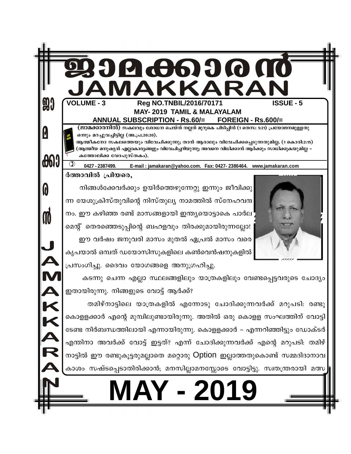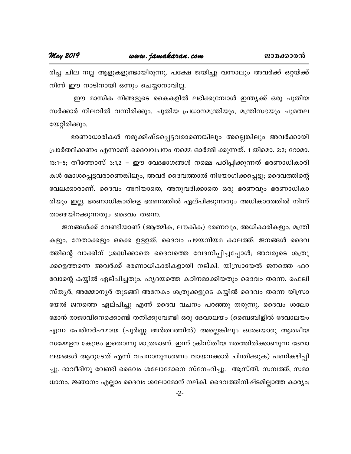#### **May 2019**

രിച്ച ചില നല്ല ആളുകളുണ്ടായിരുന്നു. പക്ഷേ ജയിച്ചു വന്നാലും അവർക്ക് ഒറ്റയ്ക്ക് നിന്ന് ഈ നാടിനായി ഒന്നും ചെയ്യാനാവില്ല.

ഈ മാസിക നിങ്ങളുടെ കൈകളിൽ ലഭിക്കുമ്പോൾ ഇന്ത്യക്ക് ഒരു പുതിയ സർക്കാർ നിലവിൽ വന്നിരിക്കും. പുതിയ പ്രധാനമന്ത്രിയും, മന്ത്രിസഭയും ചുമതല യേറ്റിരിക്കും.

ഭരണാധാരികൾ നമുക്കിഷ്ടപ്പെട്ടവരാണെങ്കിലും അല്ലെങ്കിലും അവർക്കായി പ്രാർത്ഥിക്കണം എന്നാണ് ദൈവവചനം നമ്മെ ഓർമ്മി ക്കുന്നത്. 1 തിമൊ. 2:2; റോമാ. 13:1-5; തീത്തോസ് 3:1,2 – ഈ വേദഭാഗങ്ങൾ നമ്മെ പഠിപ്പിക്കുന്നത് ഭരണാധികാരി കൾ മോശപ്പെട്ടവരാണെങ്കിലും, അവർ ദൈവത്താൽ നിയോഗിക്കപ്പെട്ടു; ദൈവത്തിന്റെ വേലക്കാരാണ്. ദൈവം അറിയാതെ, അനുവദിക്കാതെ ഒരു ഭരണവും ഭരണാധികാ രിയും ഇല്ല. ഭരണാധികാരിളെ ഭരണത്തിൽ ഏല്പിക്കുന്നതും അധികാരത്തിൽ നിന്ന് താഴെയിറക്കുന്നതും ദൈവം തന്നെ.

ജനങ്ങൾക്ക് വേണ്ടിയാണ് (ആത്മിക, ലൗകിക) ഭരണവും, അധികാരികളും, മന്ത്രി കളും, നേതാക്കളും ഒക്കെ ഉളളത്. ദൈവം പഴയനിയമ കാലത്ത്: ജനങ്ങൾ ദൈവ ത്തിന്റെ വാക്കിന് ശ്രദ്ധിക്കാതെ ദൈവത്തെ വേദനിപ്പിച്ചപ്പോൾ; അവരുടെ ശത്രു ക്കളെത്തന്നെ അവർക്ക് ഭരണാധികാരികളായി നല്കി. യിസ്രായേൽ ജനത്തെ ഫറ വോന്റെ കയ്യിൽ ഏല്പിച്ചതും, ഹൃദയത്തെ കഠിനമാക്കിയതും ദൈവം തന്നെ. ഫെലി സ്ത്യർ, അമ്മോന്യർ തുടങ്ങി അനേകം ശത്രുക്കളുടെ കയ്യിൽ ദൈവം തന്നെ യിസ്രാ യേൽ ജനത്തെ ഏല്പിച്ചു എന്ന് ദൈവ വചനം പറഞ്ഞു തരുന്നു. ദൈവം ശലോ മോൻ രാജാവിനെക്കൊണ്ട് തനിക്കുവേണ്ടി ഒരു ദേവാലയം (ബൈബിളിൽ ദേവാലയം എന്ന പേരിനർഹമായ (പൂർണ്ണ അർത്ഥത്തിൽ) അല്ലെങ്കിലും ഒരേയൊരു ആത്മീയ സമ്മേളന കേന്ദ്രം ഇതൊന്നു മാത്രമാണ്. ഇന്ന് ക്രിസ്തീയ മതത്തിൽക്കാണുന്ന ദേവാ ലയങ്ങൾ ആരുടേത് എന്ന് വചനാനുസരണം വായനക്കാർ ചിന്തിക്കുക) പണികഴിപ്പി ച്ചു. ദാവീദിനു വേണ്ടി ദൈവം ശലോമോനെ സ്നേഹിച്ചു. ആസ്തി, സമ്പത്ത്, സമാ ധാനം, ജ്ഞാനം എല്ലാം ദൈവം ശലോമോന് നല്കി. ദൈവത്തിനിഷ്ടമില്ലാത്ത കാര്യം;

 $-2-$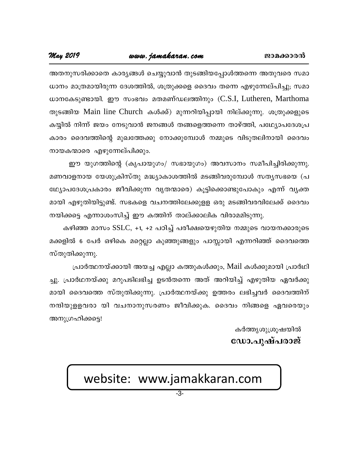അതനുസരിക്കാതെ കാര്യങ്ങൾ ചെയ്യുവാൻ തുടങ്ങിയപ്പോൾത്തന്നെ അതുവരെ സമാ ധാനം മാത്രമായിരുന്ന ദേശത്തിൽ, ശത്രുക്കളെ ദൈവം തന്നെ എഴുന്നേല്പിച്ചു; സമാ ധാനകേടുണ്ടായി. ഈ സംഭവം മതമണ്ഡലത്തിനും (C.S.I, Lutheren, Marthoma തുടങ്ങിയ Main line Church കൾക്ക്) മുന്നറിയിപ്പായി നില്ക്കുന്നു. ശത്രുക്കളുടെ കയ്യിൽ നിന്ന് ജയം നേടുവാൻ ജനങ്ങൾ തങ്ങളെത്തന്നെ താഴ്ത്തി, പഥ്ര്യോപദേശപ്ര കാരം ദൈവത്തിന്റെ മുഖത്തേക്കു നോക്കുമ്പോൾ നമ്മുടെ വിടുതലിനായി ദൈവം നായകന്മാരെ എഴുന്നേല്പിക്കും.

ഈ യുഗത്തിന്റെ (കൃപായുഗം/ സഭായുഗം) അവസാനം സമീപിച്ചിരിക്കുന്നു. മണവാളനായ യേശുക്രിസ്തു മദ്ധ്യാകാശത്തിൽ മടങ്ങിവരുമ്പോൾ സത്യസഭയെ (പ ഥ്യോപദേശപ്രകാരം ജീവിക്കുന്ന വൃതന്മാരെ) കൂട്ടിക്കൊണ്ടുപോകും എന്ന് വ്യക്ത മായി എഴുതിയിട്ടുണ്ട്. സഭകളെ വചനത്തിലേക്കുളള ഒരു മടങ്ങിവരവിലേക്ക് ദൈവം നയിക്കട്ടെ എന്നാശംസിച്ച് ഈ കത്തിന് താല്ക്കാലിക വിരാമമിടുന്നു.

കഴിഞ്ഞ മാസം SSLC, +1, +2 പഠിച്ച് പരീക്ഷയെഴുതിയ നമ്മുടെ വായനക്കാരുടെ മക്കളിൽ 6 പേർ ഒഴികെ മറ്റെല്ലാ കുഞ്ഞുങ്ങളും പാസ്സായി എന്നറിഞ്ഞ് ദൈവത്തെ സ്തുതിക്കുന്നു.

പ്രാർത്ഥനയ്ക്കായി അയച്ച എല്ലാ കത്തുകൾക്കും, Mail കൾക്കുമായി പ്രാർഥി ച്ചു. പ്രാർഥനയ്ക്കു മറുപടിലഭിച്ച ഉടൻതന്നെ അത് അറിയിച്ച് എഴുതിയ ഏവർക്കു മായി ദൈവത്തെ സ്തുതിക്കുന്നു. പ്രാർത്ഥനയ്ക്കു ഉത്തരം ലഭിച്ചവർ ദൈവത്തിന് നന്ദിയുളളവരാ യി വചനാനുസരണം ജീവിക്കുക. ദൈവം നിങ്ങളെ ഏവരെയും അനുഗ്രഹിക്കട്ടെ!

> കർത്തൃശുശ്രൂഷയിൽ ഡോ.പുഷ്പരാജ്

## website: www.jamakkaran.com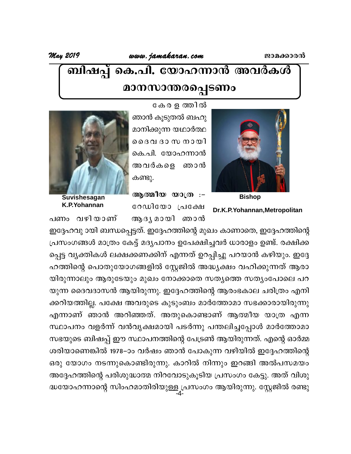## ബിഷപ്പ് കെ.പി. യോഹന്നാൻ അവർകൾ മാനസാന്തരപ്പെടണം

കേരളത്തിൽ



ഞാൻ കൂടുതൽ ബഹു മാനിക്കുന്ന യഥാർത്ഥ ദൈവ ദാ സ നായി കെ.പി. യോഹന്നാൻ അവർകളെ ഞാൻ കണ്ടു.



Suvishesagan K.P.Yohannan

പണം വഴിയാണ്

**Bishop** 

Dr.K.P.Yohannan, Metropolitan

ആത്മീയ യാത്ര :-റേഡിയോ പ്രക്ഷേ ആദൃമായി ഞാൻ

ഇദ്ദേഹവു ായി ബന്ധപ്പെട്ടത്. ഇദ്ദേഹത്തിന്റെ മുഖം കാണാതെ, ഇദ്ദേഹത്തിന്റെ പ്രസംഗങ്ങൾ മാത്രം കേട്ട് മദൃപാനം ഉപേക്ഷിച്ചവർ ധാരാളം ഉണ്ട്. രക്ഷിക്ക പ്പെട്ട വ്യക്തികൾ ലക്ഷക്കണക്കിന് എന്നത് ഉറപ്പിച്ചു പറയാൻ കഴിയും. ഇദ്ദേ ഹത്തിന്റെ പൊതുയോഗങ്ങളിൽ സ്റ്റേജിൽ അദ്ധ്യക്ഷം വഹിക്കുന്നത് ആരാ യിരുന്നാലും ആരുടേയും മുഖം നോക്കാതെ സതൃത്തെ സതൃംപോലെ പറ യുന്ന ദൈവദാസൻ ആയിരുന്നു. ഇദ്ദേഹത്തിന്റെ ആരംഭകാല ചരിത്രം എനി ക്കറിയത്തില്ല. പക്ഷേ അവരുടെ കുടുംബം മാർത്തോമാ സഭക്കാരായിരുന്നു എന്നാണ് ഞാൻ അറിഞ്ഞത്. അതുകൊണ്ടാണ് ആത്മീയ യാത്ര എന്ന സ്ഥാപനം വളർന്ന് വൻവൃക്ഷമായി പടർന്നു പന്തലിച്ചപ്പോൾ മാർത്തോമാ സഭയുടെ ബിഷപ്പ് ഈ സ്ഥാപനത്തിന്റെ പേട്രൺ ആയിരുന്നത്. എന്റെ ഓർമ്മ ശരിയാണെങ്കിൽ 1978–ാം വർഷം ഞാൻ പോകുന്ന വഴിയിൽ ഇദ്ദേഹത്തിന്റെ ഒരു യോഗം നടന്നുകൊണ്ടിരുന്നു. കാറിൽ നിന്നും ഇറങ്ങി അൽപസമയം അദ്ദേഹത്തിന്റെ പരിശുദ്ധാത്മ നിറവോടുകൂടിയ പ്രസംഗം കേട്ടു. അത് വിശു ദ്ധയോഹന്നാന്റെ സിംഹമാതിരിയുള്ള പ്രസംഗം ആയിരുന്നു. സ്റ്റേജിൽ രണ്ടു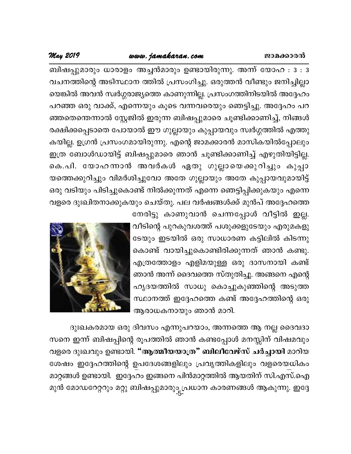### www.jamakaran.com

### May 2019

ബിഷപ്പുമാരും ധാരാളം അച്ചൻമാരും ഉണ്ടായിരുന്നു. അന്ന് യോഹ : 3 : 3 വചനത്തിന്റെ അടിസ്ഥാന ത്തിൽ പ്രസംഗിച്ചു. ഒരുത്തൻ വീണ്ടും ജനിച്ചില്ലാ യെങ്കിൽ അവൻ സ്വർഗ്ഗരാജ്യത്തെ കാണുന്നില്ല. പ്രസംഗത്തിനിടയിൽ അദ്ദേഹം പറഞ്ഞ ഒരു വാക്ക്, എന്നെയും കൂടെ വന്നവരെയും ഞെട്ടിച്ചു. അദ്ദേഹം പറ ഞ്ഞതെെന്നാൽ സ്റ്റേജിൽ ഇരുന്ന ബിഷപ്പുമാരെ ചൂണ്ടിക്കാണിച്ച്, നിങ്ങൾ രക്ഷിക്കപ്പെടാതെ പോയാൽ ഈ ഗുല്ലായും കുപ്പായവും സ്വർഗ്ഗത്തിൽ എത്തു കയില്ല. ഉഗ്രൻ പ്രസംഗമായിരുന്നു. എന്റെ ജാമക്കാരൻ മാസികയിൽപ്പോലും ഇത്ര ബോൾഡായിട്ട് ബിഷപ്പുമാരെ ഞാൻ ചൂണ്ടിക്കാണിച്ച് എഴുതിയിട്ടില്ല. കെ.പി. യോഹന്നാൻ അവർകൾ ഏതു ഗുല്ലായെക്കുറിച്ചും കുപ്പാ യത്തെക്കുറിച്ചും വിമർശിച്ചുവോ അതേ ഗുല്ലായും അതേ കുപ്പായവുമായിട്ട് ഒരു വടിയും പിടിച്ചുകൊണ്ട് നിൽക്കുന്നത് എന്നെ ഞെട്ടിപ്പിക്കുകയും എന്നെ വളരെ ദുഃഖിതനാക്കുകയും ചെയ്തു. പല വർഷങ്ങൾക്ക് മുൻപ് അദ്ദേഹത്തെ

> നേരിട്ടു കാണുവാൻ ചെന്നപ്പോൾ വീട്ടിൽ ഇല്ല. വീടിന്റെ പുറകുവശത്ത് പശുക്കളുടേയും എരുമകളു ടേയും ഇടയിൽ ഒരു സാധാരണ കട്ടിലിൽ കിടന്നു കൊണ്ട് വായിച്ചുകൊണ്ടിരിക്കുന്നത് ഞാൻ കണ്ടു. എത്രത്തോളം എളിമയുള്ള ഒരു ദാസനായി കണ്ട് ഞാൻ അന്ന് ദൈവത്തെ സ്തുതിച്ചു. അങ്ങനെ എന്റെ ഹൃദയത്തിൽ സാധു കൊച്ചുകുഞ്ഞിന്റെ അടുത്ത സ്ഥാനത്ത് ഇദ്ദേഹത്തെ കണ്ട് അദ്ദേഹത്തിന്റെ ഒരു ആരാധകനായും ഞാൻ മാറി.



ദുഃഖകരമായ ഒരു ദിവസം എന്നുപറയാം, അന്നത്തെ ആ നല്ല ദൈവദാ സനെ ഇന്ന് ബിഷപ്പിന്റെ രൂപത്തിൽ ഞാൻ കണ്ടപ്പോൾ മനസ്സിന് വിഷമവും വളരെ ദുഃഖവും ഉണ്ടായി. "ആത്മീയയാത്ര" ബിലീവേഴ്സ് ചർച്ചായി മാറിയ ശേഷം ഇദ്ദേഹത്തിന്റെ ഉപദേശങ്ങളിലും പ്രവൃത്തികളിലും വളരെയധികം മാറ്റങ്ങൾ ഉണ്ടായി. ഇദ്ദേഹം ഇങ്ങനെ പിൻമാറ്റത്തിൽ ആയതിന് സി.എസ്.ഐ മുൻ മോഡറേറ്ററും മറ്റു ബിഷപ്പുമാരും പ്രധാന കാരണങ്ങൾ ആകുന്നു. ഇദ്ദേ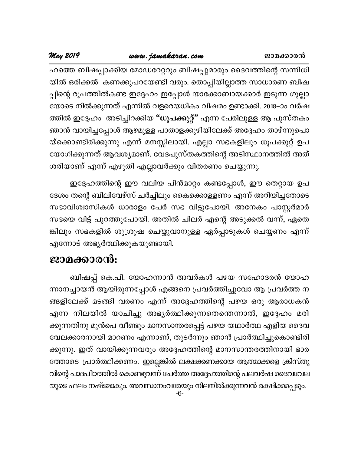### www.jamakaran.com

**May 2019** 

ഹത്തെ ബിഷപ്പാക്കിയ മോഡറേറ്ററും ബിഷപ്പുമാരും ദൈവത്തിന്റെ സന്നിധി യിൽ ഒരിക്കൽ കണക്കുപറയേണ്ടി വരും. തൊപ്പിയില്ലാത്ത സാധാരണ ബിഷ പ്പിന്റെ രൂപത്തിൽകണ്ട ഇദ്ദേഹം ഇപ്പോൾ യാക്കോബായക്കാർ ഇടുന്ന ഗുല്ലാ യോടെ നിൽക്കുന്നത് എന്നിൽ വളരെയധികം വിഷമം ഉണ്ടാക്കി. 2018–ാം വർഷ ത്തിൽ ഇദ്ദേഹം അടിച്ചിറക്കിയ "ധൂപക്കുറ്റ്" എന്ന പേരിലുള്ള ആ പുസ്തകം ഞാൻ വായിച്ചപ്പോൾ ആഴമുള്ള പാതാളക്കുഴിയിലേക്ക് അദ്ദേഹം താഴ്ന്നുപൊ യ്ക്കൊണ്ടിരിക്കുന്നു എന്ന് മനസ്സിലായി. എല്ലാ സഭകളിലും ധൂപക്കുറ്റ് ഉപ യോഗിക്കുന്നത് ആവശ്യമാണ്. വേദപുസ്തകത്തിന്റെ അടിസ്ഥാനത്തിൽ അത് ശരിയാണ് എന്ന് എഴുതി എല്ലാവർക്കും വിതരണം ചെയ്യുന്നു.

ഇദ്ദേഹത്തിന്റെ ഈ വലിയ പിൻമാറ്റം കണ്ടപ്പോൾ, ഈ തെറ്റായ ഉപ ദേശം തന്റെ ബിലിവേഴ്സ് ചർച്ചിലും കൈക്കൊള്ളണം എന്ന് അറിയിച്ചതോടെ സഭാവിശ്വാസികൾ ധാരാളം പേർ സഭ വിട്ടുപോയി. അനേകം പാസ്റ്റർമാർ സഭയെ വിട്ട് പുറത്തുപോയി. അതിൽ ചിലർ എന്റെ അടുക്കൽ വന്ന്, ഏതെ ങ്കിലും സഭകളിൽ ശുശ്രൂഷ ചെയ്യുവാനുള്ള ഏർപ്പാടുകൾ ചെയ്യണം എന്ന് എന്നോട് അഭ്യർത്ഥിക്കുകയുണ്ടായി.

### ജാമക്കാരൻ:

ബിഷപ്പ് കെ.പി. യോഹന്നാൻ അവർകൾ പഴയ സഹോദരൻ യോഹ ന്നാനച്ചായൻ ആയിരുന്നപ്പോൾ എങ്ങനെ പ്രവർത്തിച്ചുവോ ആ പ്രവർത്ത ന ങ്ങളിലേക്ക് മടങ്ങി വരണം എന്ന് അദ്ദേഹത്തിന്റെ പഴയ ഒരു ആരാധകൻ എന്ന നിലയിൽ യാചിച്ചു അഭ്യർത്ഥിക്കുന്നതെന്തെന്നാൽ, ഇദ്ദേഹം മരി ക്കുന്നതിനു മുൻപെ വീണ്ടും മാനസാന്തരപ്പെട്ട് പഴയ യഥാർത്ഥ എളിയ ദൈവ വേലക്കാരനായി മാറണം എന്നാണ്, തുടർന്നും ഞാൻ പ്രാർത്ഥിച്ചുകൊണ്ടിരി ക്കുന്നു. ഇത് വായിക്കുന്നവരും അദ്ദേഹത്തിന്റെ മാനസാന്തരത്തിനായി ഭാര ത്തോടെ പ്രാർത്ഥിക്കണം. ഇല്ലെങ്കിൽ ലക്ഷക്കണക്കായ ആത്മാക്കളെ ക്രിസ്തു വിന്റെ പാദപീഠത്തിൽ കൊണ്ടുവന്ന് ചേർത്ത അദ്ദേഹത്തിന്റെ പലവർഷ ദൈവവേല യുടെ ഫലം നഷ്ടമാകും. അവസാനംവരേയും നിലനിൽക്കുന്നവൻ രക്ഷിക്കപ്പെടും.  $-6-$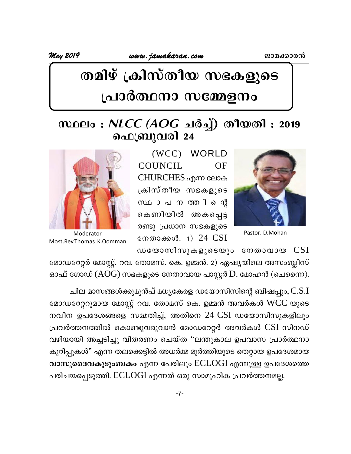www.jamakaran.com

May 2019

## തമിഴ് ക്രിസ്തീയ സഭകളുടെ പ്രാർത്ഥനാ സമ്മേളനം

### സ്ഥലം : *NLCC (AOG* ചർച്ച്) തീയതി : 2019 ഫെബ്രുവരി 24



Pastor. D.Mohan

(WCC) WORLD COUNCIL OF CHURCHES എന്ന ലോക ക്രിസ്തീയ സഭകളുടെ സഥാപനത്തിന്റെ കെണിയിൽ അകപ്പെട്ട രണ്ടു പ്രധാന സഭകളുടെ നേതാക്കൾ. 1) 24 CSI



Moderator Most.Rev.Thomas K.Oomman

ഡയോസിസുകളുടെയും നേതാവായ  $CSI$ 

മോഡറേറ്റർ മോസ്റ്റ്. റവ. തോമസ്. കെ. ഉമ്മൻ. 2) ഏഷ്യയിലെ അസംബ്ലീസ് ഓഫ് ഗോഡ്  $(AOG)$  സഭകളുടെ നേതാവായ പാസ്റ്റർ  $D$ . മോഹൻ (ചെന്നൈ).

ചില മാസങ്ങൾക്കുമുൻപ് മധ്യകേരള ഡയോസിസിന്റെ ബിഷപ്പും, $\mathbf{C.S.I}$ മോഡറേറ്ററുമായ മോസ്റ്റ് റവ. തോമസ് കെ. ഉമ്മൻ അവർകൾ WCC യുടെ നവീന ഉപദേശങ്ങളെ സമ്മതിച്ച്, അതിനെ 24 CSI ഡയോസിസുകളിലും പ്രവർത്തനത്തിൽ കൊണ്ടുവരുവാൻ മോഡറേറ്റർ അവർകൾ CSI സിനഡ് വഴിയായി അച്ചടിച്ചു വിതരണം ചെയ്ത "ലന്തുകാല ഉപവാസ പ്രാർത്ഥനാ കുറിപ്പുകൾ" എന്ന തലക്കെട്ടിൽ അധർമ്മ മൂർത്തിയുടെ തെറ്റായ ഉപദേശമായ വാസുദൈവകുടുംബകം എന്ന പേരിലും ECLOGI എന്നുള്ള ഉപദേശത്തെ പരിചയപ്പെടുത്തി. ECLOGI എന്നത് ഒരു സാമൂഹിക പ്രവർത്തനമല്ല.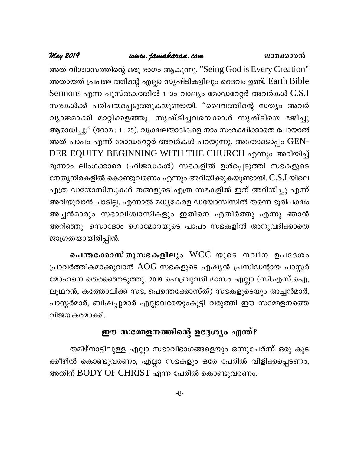### www.jamakaran.com

അത് വിശ്വാസത്തിന്റെ ഒരു ഭാഗം ആകുന്നു. "Seing God is Every Creation" അതായത് പ്രപഞ്ചത്തിന്റെ എല്ലാ സൃഷ്ടികളിലും ദൈവം ഉണ്ട്. Earth Bible Sermons എന്ന പുസ്തകത്തിൽ 1–ാം വാല്യം മോഡറേറ്റർ അവർകൾ C.S.I സഭകൾക്ക് പരിചയപ്പെടുത്തുകയുണ്ടായി. "ദൈവത്തിന്റെ സത്യം അവർ വ്യാജമാക്കി മാറ്റിക്കളഞ്ഞു, സൃഷ്ടിച്ചവനെക്കാൾ സൃഷ്ടിയെ ഭജിച്ചു ആരാധിച്ചു:" (റോമ : 1: 25). വൃക്ഷലതാദികളെ നാം സംരക്ഷിക്കാതെ പോയാൽ അത് പാപം എന്ന് മോഡറേറ്റർ അവർകൾ പറയുന്നു. അതോടൊപ്പം GEN-DER EQUITY BEGINNING WITH THE CHURCH എന്നും അറിയിച്ച് മൂന്നാം ലിംഗക്കാരെ (ഹിജഡകൾ) സഭകളിൽ ഉൾപ്പെടുത്തി സഭകളുടെ നേതൃനിരകളിൽ കൊണ്ടുവരണം എന്നും അറിയിക്കുകയുണ്ടായി. C.S.I യിലെ എത്ര ഡയോസിസുകൾ തങ്ങളുടെ എത്ര സഭകളിൽ ഇത് അറിയിച്ചു എന്ന് അറിയുവാൻ പാടില്ല. എന്നാൽ മധ്യകേരള ഡയോസിസിൽ തന്നെ ഭൂരിപക്ഷം അച്ചൻമാരും സഭാവിശ്വാസികളും ഇതിനെ എതിർത്തു എന്നു ഞാൻ അറിഞ്ഞു. സൊദോം ഗൊമോരയുടെ പാപം സഭകളിൽ അനുവദിക്കാതെ ജാഗ്രതയായിരിപ്പിൻ.

പെന്തക്കോസ്തുസഭകളിലും WCC യുടെ നവീന ഉപദേശം പ്രാവർത്തികമാക്കുവാൻ AOG സഭകളുടെ ഏഷ്യൻ പ്രസിഡന്റായ പാസ്റ്റർ മോഹനെ തെരഞ്ഞെടുത്തു. 2019 ഫെബ്രുവരി മാസം എല്ലാ (സി.എസ്.ഐ, ലൂഥറൻ, കത്തോലിക്ക സഭ, പെന്തെക്കോസ്ത്) സഭകളുടെയും അച്ചൻമാർ, പാസ്റ്റർമാർ, ബിഷപ്പുമാർ എല്ലാവരേയുംകൂട്ടി വരുത്തി ഈ സമ്മേളനത്തെ വിജയകരമാക്കി.

### ഈ സമ്മേളനത്തിന്റെ ഉദ്ദേശ്യം എന്ത്?

തമിഴ്നാട്ടിലുള്ള എല്ലാ സഭാവിഭാഗങ്ങളെയും ഒന്നുചേർന്ന് ഒരു കുട ക്കീഴിൽ കൊണ്ടുവരണം, എല്ലാ സഭകളും ഒരേ പേരിൽ വിളിക്കപ്പെടണം, അതിന് BODY OF CHRIST എന്ന പേരിൽ കൊണ്ടുവരണം.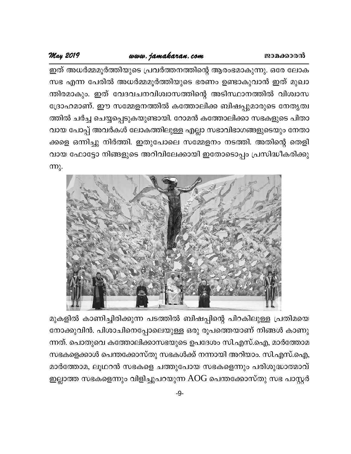### www.jamakaran.com

### May 2019

ഇത് അധർമ്മമൂർത്തിയുടെ പ്രവർത്തനത്തിന്റെ ആരംഭമാകുന്നു. ഒരേ ലോക സഭ എന്ന പേരിൽ അധർമ്മമൂർത്തിയുടെ ഭരണം ഉണ്ടാകുവാൻ ഇത് മുഖാ ന്തിരമാകും. ഇത് വേദവചനവിശ്വാസത്തിന്റെ അടിസ്ഥാനത്തിൽ വിശ്വാസ ദ്രോഹമാണ്. ഈ സമ്മേളനത്തിൽ കത്തോലിക്ക ബിഷപ്പുമാരുടെ നേതൃത്വ ത്തിൽ ചർച്ച ചെയ്യപ്പെടുകയുണ്ടായി. റോമൻ കത്തോലിക്കാ സഭകളുടെ പിതാ വായ പോപ്പ് അവർകൾ ലോകത്തിലുള്ള എല്ലാ സഭാവിഭാഗങ്ങളുടെയും നേതാ ക്കളെ ഒന്നിച്ചു നിർത്തി. ഇതുപോലെ സമ്മേളനം നടത്തി. അതിന്റെ തെളി വായ ഫോട്ടോ നിങ്ങളുടെ അറിവിലേക്കായി ഇതോടൊപ്പം പ്രസിദ്ധീകരിക്കു  $m<sub>2</sub>$ .



മുകളിൽ കാണിച്ചിരിക്കുന്ന പടത്തിൽ ബിഷപ്പിന്റെ പിറകിലുള്ള പ്രതിമയെ നോക്കുവിൻ. പിശാചിനെപ്പോലെയുള്ള ഒരു രൂപത്തെയാണ് നിങ്ങൾ കാണു ന്നത്. പൊതുവെ കത്തോലിക്കാസഭയുടെ ഉപദേശം സി.എസ്.ഐ, മാർത്തോമ സഭകളെക്കാൾ പെന്തക്കോസ്തു സഭകൾക്ക് നന്നായി അറിയാം. സി.എസ്.ഐ, മാർത്തോമ, ലൂഥറൻ സഭകളെ ചത്തുപോയ സഭകളെന്നും പരിശുദ്ധാത്മാവ് ഇല്ലാത്ത സഭകളെന്നും വിളിച്ചുപറയുന്ന AOG പെന്തക്കോസ്തു സഭ പാസ്റ്റർ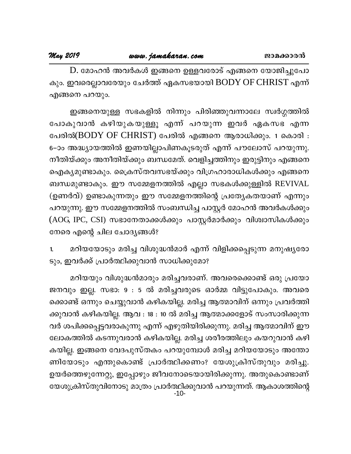#### May 2019

D. മോഹൻ അവർകൾ ഇങ്ങനെ ഉള്ളവരോട് എങ്ങനെ യോജിച്ചുപോ കും. ഇവരെല്ലാവരേയും ചേർത്ത് ഏകസഭയായി BODY OF CHRIST എന്ന് എങ്ങനെ പറയും.

ഇങ്ങനെയുള്ള സഭകളിൽ നിന്നും പിരിഞ്ഞുവന്നാലേ സ്വർഗ്ഗത്തിൽ പോകുവാൻ കഴിയുകയുള്ളൂ എന്ന് പറയുന്ന ഇവർ ഏകസഭ എന്ന പേരിൽ(BODY OF CHRIST) പേരിൽ എങ്ങനെ ആരാധിക്കും. 1 കൊരി : 6–ാം അദ്ധ്യായത്തിൽ ഇണയില്ലാപിണകൂടരുത് എന്ന് പൗലോസ് പറയുന്നു. നീതിയ്ക്കും അനീതിയ്ക്കും ബന്ധമേത്. വെളിച്ചത്തിനും ഇരുട്ടിനും എങ്ങനെ ഐക്യമുണ്ടാകും. ക്രൈസ്തവസഭയ്ക്കും വിഗ്രഹാരാധികൾക്കും എങ്ങനെ ബന്ധമുണ്ടാകും. ഈ സമ്മേളനത്തിൽ എല്ലാ സഭകൾക്കുള്ളിൽ REVIVAL (ഉണർവ്) ഉണ്ടാകുന്നതും ഈ സമ്മേളനത്തിന്റെ പ്രത്യേകതയാണ് എന്നും പറയുന്നു. ഈ സമ്മേളനത്തിൽ സംബന്ധിച്ച പാസ്റ്റർ മോഹൻ അവർകൾക്കും (AOG, IPC, CSI) സഭാനേതാക്കൾക്കും പാസ്റ്റർമാർക്കും വിശ്വാസികൾക്കും നേരെ എന്റെ ചില ചോദ്യങ്ങൾ?

മറിയയോടും മരിച്ച വിശുദ്ധൻമാർ എന്ന് വിളിക്കപ്പെടുന്ന മനുഷ്യരോ 1. ടും, ഇവർക്ക് പ്രാർത്ഥിക്കുവാൻ സാധിക്കുമോ?

മറിയയും വിശുദ്ധൻമാരും മരിച്ചവരാണ്. അവരെക്കൊണ്ട് ഒരു പ്രയോ ജനവും ഇല്ല. സഭാ: 9: 5 ൽ മരിച്ചവരുടെ ഓർമ്മ വിട്ടുപോകും. അവരെ ക്കൊണ്ട് ഒന്നും ചെയ്യുവാൻ കഴികയില്ല. മരിച്ച ആത്മാവിന് ഒന്നും പ്രവർത്തി ക്കുവാൻ കഴികയില്ല. ആവ : 18 : 10 ൽ മരിച്ച ആത്മാക്കളോട് സംസാരിക്കുന്ന വർ ശപിക്കപ്പെട്ടവരാകുന്നു എന്ന് എഴുതിയിരിക്കുന്നു. മരിച്ച ആത്മാവിന് ഈ ലോകത്തിൽ കടന്നുവരാൻ കഴികയില്ല. മരിച്ച ശരീരത്തിലും കയറുവാൻ കഴി കയില്ല. ഇങ്ങനെ വേദപുസ്തകം പറയുമ്പോൾ മരിച്ച മറിയയോടും അന്തോ ണിയോടും എന്തുകൊണ്ട് പ്രാർത്ഥിക്കണം? യേശുക്രിസ്തുവും മരിച്ചു. ഉയർത്തെഴുന്നേറ്റു, ഇപ്പോഴും ജീവനോടെയായിരിക്കുന്നു. അതുകൊണ്ടാണ് യേശുക്രിസ്തുവിനോടു മാത്രം പ്രാർത്ഥിക്കുവാൻ പറയുന്നത്. ആകാശത്തിന്റെ<br>-10-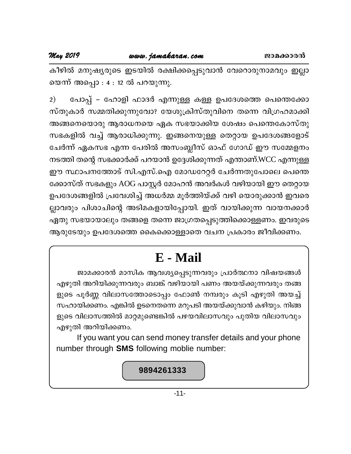#### May 2019

കീഴിൽ മനുഷ്യരുടെ ഇടയിൽ രക്ഷിക്കപ്പെടുവാൻ വേറൊരുനാമവും ഇല്ലാ യെന്ന് അപ്പൊ : 4 : 12 ൽ പറയുന്നു.

പോപ്പ് – ഹോളി ഫാദർ എന്നുള്ള കള്ള ഉപദേശത്തെ പെന്തെക്കോ  $2)$ സ്തുകാർ സമ്മതിക്കുന്നുവോ? യേശുക്രിസ്തുവിനെ തന്നെ വിഗ്രഹമാക്കി അങ്ങനെയൊരു ആരാധനയെ ഏക സഭയാക്കിയ ശേഷം പെന്തെകോസ്തു സഭകളിൽ വച്ച് ആരാധിക്കുന്നു. ഇങ്ങനെയുള്ള തെറ്റായ ഉപദേശങ്ങളോട് ചേർന്ന് ഏകസഭ എന്ന പേരിൽ അസംബ്ലീസ് ഓഫ് ഗോഡ് ഈ സമ്മേളനം നടത്തി തന്റെ സഭക്കാർക്ക് പറയാൻ ഉദ്ദേശിക്കുന്നത് എന്താണ്.WCC എന്നുള്ള ഈ സ്ഥാപനത്തോട് സി.എസ്.ഐ മോഡറേറ്റർ ചേർന്നതുപോലെ പെന്തെ ക്കോസ്ത് സഭകളും AOG പാസ്റ്റർ മോഹൻ അവർകൾ വഴിയായി ഈ തെറ്റായ ഉപദേശങ്ങളിൽ പ്രവേശിച്ച് അധർമ്മ മൂർത്തിയ്ക്ക് വഴി യൊരുക്കാൻ ഇവരെ ല്ലാവരും പിശാചിന്റെ അടിമകളായിപ്പോയി. ഇത് വായിക്കുന്ന വായനക്കാർ ഏതു സഭയായാലും തങ്ങളെ തന്നെ ജാഗ്രതപ്പെടുത്തിക്കൊള്ളണം. ഇവരുടെ ആരുടേയും ഉപദേശത്തെ കൈക്കൊള്ളാതെ വചന പ്രകാരം ജീവിക്കണം.

## E - Mail

ജാമക്കാരൻ മാസിക ആവശ്യപ്പെടുന്നവരും പ്രാർത്ഥനാ വിഷയങ്ങൾ എഴുതി അറിയിക്കുന്നവരും ബാങ്ക് വഴിയായി പണം അയയ്ക്കുന്നവരും തങ്ങ ളുടെ പൂർണ്ണ വിലാസത്തോടൊപ്പം ഫോൺ നമ്പരും കൂടി എഴുതി അയച്ച് സഹായിക്കണം. എങ്കിൽ ഉടനെതന്നെ മറുപടി അയയ്ക്കുവാൻ കഴിയും. നിങ്ങ ളുടെ വിലാസത്തിൽ മാറ്റമുണ്ടെങ്കിൽ പഴയവിലാസവും പുതിയ വിലാസവും എഴുതി അറിയിക്കണം.

If you want you can send money transfer details and your phone number through SMS following moblie number:

#### 9894261333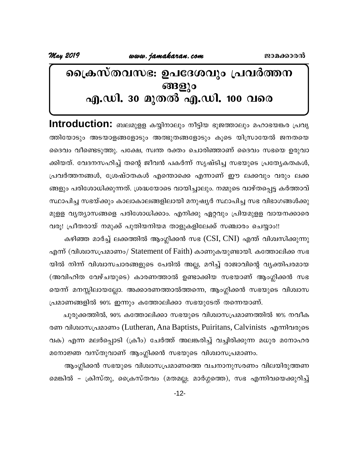### പ്രൈസ്തവസഭ: ഉപദേശവും പ്രവർത്തന ങ്ങളും എ.ഡി. 30 മുതൽ എ.ഡി. 100 വരെ

Introduction: ബലമുളള കയ്യിനാലും നീട്ടിയ ഭുജത്താലും മഹാഭയങ്കര പ്രവൃ ത്തിയോടും അടയാളങ്ങളോടും അത്ഭുതങ്ങളോടും കൂടെ യിസ്രായേൽ ജനതയെ ദൈവം വീണ്ടെടുത്തു. പക്ഷേ, സ്വന്ത രക്തം ചൊരിഞ്ഞാണ് ദൈവം സഭയെ ഉരുവാ ക്കിയത്. വേദനസഹിച്ച് തന്റെ ജീവൻ പകർന്ന് സൃഷ്ടിച്ച സഭയുടെ പ്രത്യേകതകൾ, പ്രവർത്തനങ്ങൾ, ശ്രേഷ്ഠതകൾ എന്തൊക്കെ എന്നാണ് ഈ ലക്കവും വരും ലക്ക ങ്ങളും പരിശോധിക്കുന്നത്. ശ്രദ്ധയോടെ വായിച്ചാലും. നമ്മുടെ വാഴ്തപ്പെട്ട കർത്താവ് സ്ഥാപിച്ച സഭയ്ക്കും കാലാകാലങ്ങളിലായി മനുഷ്യർ സ്ഥാപിച്ച സഭ വിഭാഗങ്ങൾക്കു മുളള വൃത്യാസങ്ങളെ പരിശോധിക്കാം. എനിക്കു ഏറ്റവും പ്രിയമുളള വായനക്കാരെ വരൂ! പ്രീതരായ് നമുക്ക് പുതിയനിയമ താളുകളിലേക്ക് സഞ്ചാരം ചെയ്യാം!!

കഴിഞ്ഞ മാർച്ച് ലക്കത്തിൽ ആംഗ്ലിക്കൻ സഭ (CSI, CNI) എന്ത് വിശ്വസിക്കുന്നു എന്ന് (വിശ്വാസപ്രമാണം/ Statement of Faith) കാണുകയുണ്ടായി. കത്തോലിക്ക സഭ യിൽ നിന്ന് വിശ്വാസചാരങ്ങളുടെ പേരിൽ അല്ല, മറിച്ച് രാജാവിന്റെ വൃക്തിപരമായ (അവിഹിത വേഴ്ചയുടെ) കാരണത്താൽ ഉണ്ടാക്കിയ സഭയാണ് ആംഗ്ലിക്കൻ സഭ യെന്ന് മനസ്സിലായല്ലോ. അക്കാരണത്താൽത്തന്നെ, ആംഗ്ലിക്കൻ സഭയുടെ വിശ്വാസ പ്രമാണങ്ങളിൽ 90% ഇന്നും കത്തോലിക്കാ സഭയുടേത് തന്നെയാണ്.

ചുരുക്കത്തിൽ, 90% കത്തോലിക്കാ സഭയുടെ വിശ്വാസപ്രമാണത്തിൽ 10% നവീക രണ വിശ്വാസപ്രമാണം (Lutheran, Ana Baptists, Puiritans, Calvinists എന്നിവരുടെ വക) എന്ന മലർപ്പൊടി (ക്രീം) ചേർത്ത് അലങ്കരിച്ച് വച്ചിരിക്കുന്ന മധുര മനോഹര മനോജ്ഞ വസ്തുവാണ് ആംഗ്ലിക്കൻ സഭയുടെ വിശ്വാസപ്രമാണം.

ആംഗ്ലിക്കൻ സഭയുടെ വിശ്വാസപ്രമാണത്തെ വചനാനുസരണം വിലയിരുത്തണ മെങ്കിൽ – ക്രിസ്തു, ക്രൈസ്തവം (മതമല്ല; മാർഗ്ഗത്തെ), സഭ എന്നിവയെക്കുറിച്ച്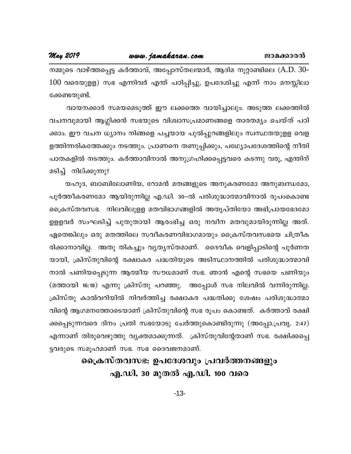നമ്മുടെ വാഴ്ത്തപ്പെട്ട കർത്താവ്, അപ്പോസ്തലന്മാർ, ആദിമ നൂറ്റാണ്ടിലെ (A.D. 30-100 വരെയുളള) സഭ എന്നിവർ എന്ത് പഠിപ്പിച്ചു, ഉപദേശിച്ചു എന്ന് നാം മനസ്സിലാ ക്കേണ്ടതുണ്ട്.

വായനക്കാർ സമയമെടുത്ത് ഈ ലക്കത്തെ വായിച്ചാലും. അടുത്ത ലക്കത്തിൽ വചനവുമായി ആഗ്ലിക്കൻ സഭയുടെ വിശ്വാസപ്രമാണങ്ങളെ താരതമ്യം ചെയ്ത് പഠി ക്കാം. ഈ വചന ധ്യാനം നിങ്ങളെ പച്ചയായ പുൽപ്പുറങ്ങളിലും സ്വസ്ഥതയുളള വെള ളത്തിന്നരികത്തേക്കും നടത്തും. പ്രാണനെ തണുപ്പിക്കും, പഥ്ര്യോപദേശത്തിന്റെ നീതി പാതകളിൽ നടത്തും. കർത്താവിനാൽ അനുഗ്രഹിക്കപ്പെട്ടവരെ കടന്നു വരൂ, എന്തിന് മടിച്ച് നില്ക്കുന്നു?

യഹൂദ, ബാബിലോണിയ, റോമൻ മതങ്ങളുടെ അനുകരണമോ അനുബന്ധമോ, പൂർത്തീകരണമോ ആയിരുന്നില്ല എ.ഡി. 30–ൽ പരിശുദ്ധാത്മാവിനാൽ രൂപംകൊണ്ട ക്രൈസ്തവസഭ. നിലവിലുളള മതവിഭാഗങ്ങളിൽ അതൃപ്തിയോ അഭിപ്രായഭേദമോ ഉളളവർ സംഘടിച്ച് പുതുതായി ആരംഭിച്ച ഒരു നവീന മതവുമായിരുന്നില്ല അത്. ഏതെങ്കിലും ഒരു മതത്തിലെ സവീകരണവിഭാഗമായും ക്രൈസ്തവസഭയെ ചിത്രീക രിക്കാനാവില്ല. അതു തികച്ചും വൃതൃസ്തമാണ്. ദൈവീക വെളിപ്പാടിന്റെ പൂർണത യായി, ക്രിസ്തുവിന്റെ രക്ഷാകര പദ്ധതിയുടെ അടിസ്ഥാനത്തിൽ പരിശുദ്ധാത്മാവി നാൽ പണിയപ്പെടുന്ന ആത്മീയ സൗധമാണ് സഭ. ഞാൻ എന്റെ സഭയെ പണിയും (മത്തായി 16:18) എന്നു ക്രിസ്തു പറഞ്ഞു. അപ്പോൾ സഭ നിലവിൽ വന്നിരുന്നില്ല. ക്രിസ്തു കാൽവറിയിൽ നിവർത്തിച്ച രക്ഷാകര പദ്ധതിക്കു ശേഷം പരിശുദ്ധാത്മാ വിന്റെ ആഗമനത്തോടെയാണ് ക്രിസ്തുവിന്റെ സഭ രൂപം കൊണ്ടത്. കർത്താവ് രക്ഷി ക്കപ്പെടുന്നവരെ ദിനം പ്രതി സഭയോടു ചേർത്തുകൊണ്ടിരുന്നു (അപ്പോ.പ്രവൃ. 2:47) എന്നാണ് തിരുവെഴുത്തു വ്യക്തമാക്കുന്നത്. ക്രിസ്തുവിന്റേതാണ് സഭ. രക്ഷിക്കപ്പെ ട്ടവരുടെ സമൂഹമാണ് സഭ. സഭ ദൈവജനമാണ്.

### പ്രൈകസ്തവസഭ. ഉപദേശവും പ്രവർത്തനങ്ങളും എ.ഡി. 30 മുതൽ എ.ഡി. 100 വരെ

 $-13-$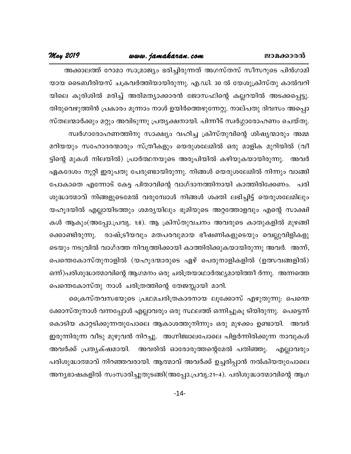#### www.jamakaran.com

#### May 2019

അക്കാലത്ത് റോമാ സാമ്രാജ്യം ഭരിച്ചിരുന്നത് അഗസ്തസ് സീസറുടെ പിൻഗാമി യായ ടൈബീരിയസ് ചക്രവർത്തിയായിരുന്നു. എ.ഡി. 30 ൽ യേശുക്രിസ്തു കാൽവറി യിലെ കുരിശിൽ മരിച്ച് അരിമത്യാക്കാരൻ ജോസഫിന്റെ കല്ലറയിൽ അടക്കപ്പെട്ടു. തിരുവെഴുത്തിൻ പ്രകാരം മൂന്നാം നാൾ ഉയിർത്തെഴുന്നേറ്റു. നാല്പതു ദിവസം അപ്പൊ സ്തലന്മാർക്കും മറ്റും അവിടുന്നു പ്രത്യക്ഷനായി. പിന്നീട് സ്വർഗ്ഗാരോഹണം ചെയ്തു. സ്വർഗാരോഹണത്തിനു സാക്ഷ്യം വഹിച്ച ക്രിസ്തുവിന്റെ ശിഷ്യന്മാരും അമ്മ മറിയയും സഹോദരന്മാരും സ്ത്രീകളും യെരുശലേമിൽ ഒരു മാളിക മുറിയിൽ (വീ ട്ടിന്റെ മുകൾ നിലയിൽ) പ്രാർത്ഥനയുടെ അരൂപിയിൽ കഴിയുകയായിരുന്നു. അവർ ഏകദേശം നൂറ്റി ഇരുപതു പേരുണ്ടായിരുന്നു. നിങ്ങൾ യെരുശലേമിൽ നിന്നും വാങ്ങി പോകാതെ എന്നോട് കേട്ട പിതാവിന്റെ വാഗ്ദാനത്തിനായി കാത്തിരിക്കേണം. പരി ശുദ്ധാത്മാവ് നിങ്ങളുടെമേൽ വരുമ്പോൾ നിങ്ങൾ ശക്തി ലഭിച്ചിട്ട് യെരുശലേമിലും യഹൂദയിൽ എല്ലായിടത്തും ശമര്യയിലും ഭൂമിയുടെ അറ്റത്തോളവും എന്റെ സാക്ഷി കൾ ആകും(അപ്പോ.പ്രവ്യ. 1:8). ആ ക്രിസ്തുവചനം അവരുടെ കാതുകളിൽ മുഴങ്ങി ക്കൊണ്ടിരുന്നു. രാഷ്ട്രീയവും മതപരവുമായ ഭീഷണികളുടെയും വെല്ലുവിളികളു ടെയും നടുവിൽ വാഗ്ദത്ത നിവൃത്തിക്കായി കാത്തിരിക്കുകയായിരുന്നു അവർ. അന്ന്, പെന്തെകോസ്തുനാളിൽ (യഹൂദന്മാരുടെ ഏഴ് പെരുനാളികളിൽ (ഉത്സവങ്ങളിൽ) ഒന്ന്)പരിശുദ്ധാത്മാവിന്റെ ആഗമനം ഒരു ചരിത്രയാഥാർത്ഥ്യമായിത്തീ ർന്നു. അന്നത്തെ പെന്തെകോസ്തു നാൾ ചരിത്രത്തിന്റെ തേജസ്സായി മാറി.

ക്രൈസ്തവസഭയുടെ പ്രഥമചരിത്രകാരനായ ലൂക്കോസ് എഴുതുന്നു: പെന്തെ ക്കോസ്തുനാൾ വന്നപ്പോൾ എല്ലാവരും ഒരു സ്ഥലത്ത് ഒന്നിച്ചുകൂ ടിയിരുന്നു. പെട്ടെന്ന് കൊടിയ കാറ്റടിക്കുന്നതുപോലെ ആകാശത്തുനിന്നും ഒരു മുഴക്കം ഉണ്ടായി. അവർ ഇരുന്നിരുന്ന വീടു മുഴുവൻ നിറച്ചു. അഗ്നിജ്വാലപോലെ പിളർന്നിരിക്കുന്ന നാവുകൾ അവർക്ക് പ്രതൃക്ഷമായി. അവരിൽ ഓരോരുത്തന്റെമേൽ പതിഞ്ഞു. എല്ലാവരും പരിശുദ്ധാത്മാവ് നിറഞ്ഞവരായി. ആത്മാവ് അവർക്ക് ഉച്ചരിപ്പാൻ നൽകിയതുപോലെ അന്യഭാഷകളിൽ സംസാരിച്ചുതുടങ്ങി(അപ്പോ.പ്രവൃ:21–4). പരിശുദ്ധാത്മാവിന്റെ ആഗ

 $-14-$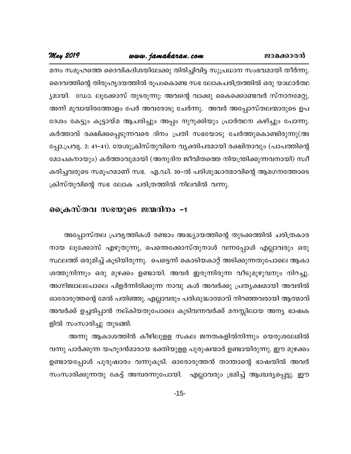### www.jamakaran.com

#### **May 2019**

മനം സമൂഹത്തെ ദൈവികദിശയിലേക്കു തിരിച്ചിവിട്ട സുപ്രധാന സംഭവമായി തീർന്നു. ദൈവത്തിന്റെ തിരുഹൃദയത്തിൽ രൂപംകൊണ്ട സഭ ലോകചരിത്രത്തിൽ ഒരു യാഥാർത്ഥ ്യമായി. ഡോ. ലൂക്കോസ് തുടരുന്നു: അവന്റെ വാക്കു കൈക്കൊണ്ടവർ സ്നാനമേറ്റു. അന്ന് മൂവായിരത്തോളം പേർ അവരോടു ചേർന്നു. അവർ അപ്പോസ്തലന്മാരുടെ ഉപ ദേശം കേട്ടും കൂട്ടായ്മ ആചരിച്ചും അപ്പം നുറുക്കിയും പ്രാർത്ഥന കഴിച്ചും പോന്നു. കർത്താവ് രക്ഷിക്കപ്പെടുന്നവരെ ദിനം പ്രതി സഭയോടു ചേർത്തുകൊണ്ടിരുന്നു(അ പ്പോ.പ്രവൃ. 2: 41–41). യേശുക്രിസ്തുവിനെ വൃക്തിപരമായി രക്ഷിതാവും (പാപത്തിന്റെ മോചകനായും) കർത്താവുമായി (അനുദിന ജീവിതത്തെ നിയന്ത്രിക്കുന്നവനായി) സ്വീ കരിച്ചവരുടെ സമൂഹമാണ് സഭ. എ.ഡി. 30–ൽ പരിശുദ്ധാത്മാവിന്റെ ആമഗനത്തോടെ ക്രിസ്തുവിന്റെ സഭ ലോക ചരിത്രത്തിൽ നിലവിൽ വന്നു.

#### പ്രൈസ്തവ സഭയുടെ ജന്മദിനം -1

അപ്പോസ്തല പ്രവൃത്തികൾ രണ്ടാം അദ്ധ്യായത്തിന്റെ തുടക്കത്തിൽ ചരിത്രകാര നായ ലൂക്കോസ് എഴുതുന്നു, പെന്തെക്കോസ്തുനാൾ വന്നപ്പോൾ എല്ലാവരും ഒരു സ്ഥലത്ത് ഒരുമിച്ച് കൂടിയിരുന്നു. പെട്ടെന്ന് കൊടിയകാറ്റ് അടിക്കുന്നതുപോലെ ആകാ ശത്തുനിന്നും ഒരു മുഴക്കം ഉണ്ടായി. അവർ ഇരുന്നിരുന്ന വീടുമുഴുവനും നിറച്ചു. അഗ്നിജ്വാലപോലെ പിളർന്നിരിക്കുന്ന നാവു കൾ അവർക്കു പ്രത്യക്ഷമായി അവരിൽ ഓരോരുത്തന്റെ മേൽ പതിഞ്ഞു. എല്ലാവരും പരിശുദ്ധാത്മാവ് നിറഞ്ഞവരായി ആത്മാവ് അവർക്ക് ഉച്ചരിപ്പാൻ നല്കിയതുപോലെ കൂടിവന്നവർക്ക് മനസ്സിലായ അന്യ ഭാഷക ളിൽ സംസാരിച്ചു തുടങ്ങി.

അന്നു ആകാശത്തിൻ കീഴിലുളള സകല ജനതകളിൽനിന്നും യെരുശലേമിൽ വന്നു പാർക്കുന്ന യഹൂദൻമാരായ ഭക്തിയുളള പുരുഷന്മാർ ഉണ്ടായിരുന്നു. ഈ മുഴക്കം ഉണ്ടായപ്പോൾ പുരുഷാരം വന്നുകൂടി. ഓരോരുത്തൻ താന്താന്റെ ഭാഷയിൽ അവർ സംസാരിക്കുന്നതു കേട്ട് അമ്പരന്നുപോയി. എല്ലാവരും ഭ്രമിച്ച് ആശ്ചരൃപ്പെട്ടു. ഈ

 $-15-$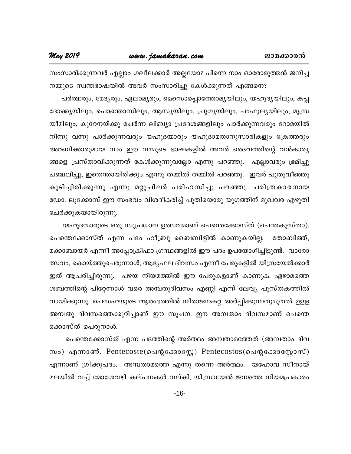സംസാരിക്കുന്നവർ എല്ലാം ഗലീലക്കാർ അല്ലയോ? പിന്നെ നാം ഓരോരുത്തൻ ജനിച്ച നമ്മുടെ സ്വന്തഭാഷയിൽ അവർ സംസാരിച്ചു കേൾക്കുന്നത് എങ്ങനെ?

പർത്ഥരും, മേദ്യരും, ഏലാമൃരും, മെസൊപ്പൊത്തോമൃയിലും, യഹൂദൃയിലും, കപ്പ ദോക്കൃയിലും, പൊത്തൊസിലും, ആസൃയിലും, പ്രുഗൃയിലും, പംഫുലൃയിലും, മുസ്ര യീമിലും, കുറേനയ്ക്കു ചേർന്ന ലിബ്യാ പ്രദേശങ്ങളിലും പാർക്കുന്നവരും റോമയിൽ നിന്നു വന്നു പാർക്കുന്നവരും യഹൂദന്മാരും യഹൂദാമതാനുസാരികളും ക്രേത്തരും അറബിക്കാരുമായ നാം ഈ നമ്മുടെ ഭാഷകളിൽ അവർ ദൈവത്തിന്റെ വൻകാര്യ ങ്ങളെ പ്രസ്താവിക്കുന്നത് കേൾക്കുന്നുവല്ലോ എന്നു പറഞ്ഞു. എല്ലാവരും ഭ്രമിച്ചു ചഞ്ചലിച്ചു, ഇതെന്തായിരിക്കും എന്നു തമ്മിൽ തമ്മിൽ പറഞ്ഞു. ഇവർ പുതുവീഞ്ഞു കുടിച്ചിരിക്കുന്നു എന്നു മറ്റുചിലർ പരിഹസിച്ചു പറഞ്ഞു. ചരിത്രകാരനായ ഡോ. ലൂക്കോസ് ഈ സംഭവം വിശദീകരിച്ച് പുതിയൊരു യുഗത്തിന് മുഖവര എഴുതി ചേർക്കുകയായിരുന്നു.

യഹൂദന്മാരുടെ ഒരു സുപ്രധാന ഉത്സവമാണ് പെന്തെക്കോസ്ത് (പെന്തകുസ്താ). പെന്തെക്കോസ്ത് എന്ന പദം ഹീബ്രു ബൈബിളിൽ കാണുകയില്ല. തോബിത്ത്. മക്കാബായർ എന്നീ അപ്പോക്രിഫാ ഗ്രന്ഥങ്ങളിൽ ഈ പദം ഉപയോഗിച്ചിട്ടുണ്ട്. വാരോ ത്സവം, കൊയ്ത്തുപെരുന്നാൾ, ആദ്യഫല ദിവസം എന്നീ പേരുകളിൽ യിസ്രയേൽക്കാർ ഇത് ആചരിച്ചിരുന്നു. പഴയ നിയമത്തിൽ ഈ പേരുകളാണ് കാണുക. ഏഴാമത്തെ ശബത്തിന്റെ പിറ്റേന്നാൾ വരെ അമ്പതുദിവസം എണ്ണി എന്ന് ലേവ്യ പുസ്തകത്തിൽ വായിക്കുന്നു. പെസഹയുടെ ആരംഭത്തിൽ നീരാജനകറ്റ അർപ്പിക്കുന്നതുമുതൽ ഉളള അമ്പതു ദിവസത്തെക്കുറിച്ചാണ് ഈ സൂചന. ഈ അമ്പതാം ദിവസമാണ് പെന്തെ ക്കൊസ്ത് പെരുനാൾ.

പെന്തെക്കോസ്ത് എന്ന പദത്തിന്റെ അർത്ഥം അമ്പതാമത്തേത് (അമ്പതാം ദിവ സം) എന്നാണ്. Pentecoste(പെന്റക്കോസ്റ്റേ) Pentecostos(പെന്റക്കോസ്റ്റോസ്) എന്നാണ് ഗ്രീക്കുപദം. അമ്പതാമത്തെ എന്നു തന്നെ അർത്ഥം. യഹോവ സീനായ് മലയിൽ വച്ച് മോശേവഴി കല്പനകൾ നല്കി, യിസ്രായേൽ ജനത്തെ നിയമപ്രകാരം

 $-16-$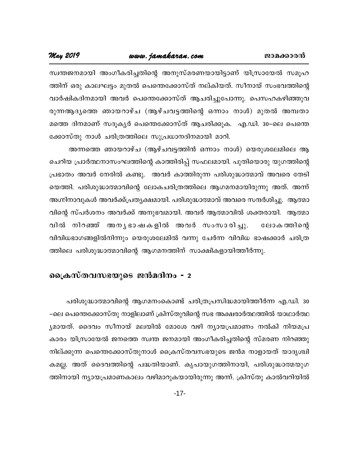#### www.jamakaran.com

May 2019

സ്വന്തജനമായി അംഗീകരിച്ചതിന്റെ അനുസ്മരണയായിട്ടാണ് യിസ്രായേൽ സമുഹ ത്തിന് ഒരു കാലഘട്ടം മുതൽ പെന്തെക്കോസ്ത് നല്കിയത്. സീനായ് സംഭവത്തിന്റെ വാർഷികദിനമായി അവർ പെന്തെക്കോസ്ത് ആചരിച്ചുപോന്നു. പെസഹകഴിഞ്ഞുവ രുന്നആദ്യത്തെ ഞായറാഴ്ച (ആഴ്ചവട്ടത്തിന്റെ ഒന്നാം നാൾ) മുതൽ അമ്പതാ മത്തെ ദിനമാണ് സദൂകൃർ പെന്തെക്കോസ്ത് ആചരിക്കുക. എ.ഡി. 30–ലെ പെന്തെ ക്കോസ്തു നാൾ ചരിത്രത്തിലെ സുപ്രധാനദിനമായി മാറി.

അന്നത്തെ ഞായറാഴ്ച (ആഴ്ചവട്ടത്തിൻ ഒന്നാം നാൾ) യെരുശലേമിലെ ആ ചെറിയ പ്രാർത്ഥനാസംഘത്തിന്റെ കാത്തിരിപ്പ് സഫലമായി. പുതിയൊരു യുഗത്തിന്റെ പ്രഭാതം അവർ നേരിൽ കണ്ടു. അവർ കാത്തിരുന്ന പരിശുദ്ധാത്മാവ് അവരെ തേടി യെത്തി. പരിശുദ്ധാത്മാവിന്റെ ലോകചരിത്രത്തിലെ ആഗമനമായിരുന്നു അത്. അന്ന് അഗ്നിനാവുകൾ അവർക്ക്പ്രത്യക്ഷമായി. പരിശുദ്ധാത്മാവ് അവരെ സന്ദർശിച്ചു. ആത്മാ വിന്റെ സ്പർശനം അവർക്ക് അനുഭവമായി. അവർ ആത്മാവിൽ ശക്തരായി. ആത്മാ വിൽ നിറഞ്ഞ് അനൃഭാഷകളിൽ അവർ സംസാരിച്ചു. ലോക ത്തിന്റെ വിവിധഭാഗങ്ങളിൽനിന്നും യെരുശലേമിൽ വന്നു ചേർന്ന വിവിധ ഭാഷക്കാർ ചരിത്ര ത്തിലെ പരിശുദ്ധാത്മാവിന്റെ ആഗമനത്തിന് സാക്ഷികളായിത്തീർന്നു.

#### പ്രൈസ്തവസഭയുടെ ജൻമദിനം - 2

പരിശുദ്ധാത്മാവിന്റെ ആഗമനംകൊണ്ട് ചരിത്രപ്രസിദ്ധമായിത്തീർന്ന എ.ഡി. 30 –ലെ പെന്തെക്കോസ്തു നാളിലാണ് ക്രിസ്തുവിന്റെ സഭ അക്ഷരാർത്ഥത്തിൽ യാഥാർത്ഥ ്യമായത്. ദൈവം സീനായ് മലയിൽ മോശേ വഴി ന്യായപ്രമാണം നൽകി നിയമപ്ര കാരം യിസ്രായേൽ ജനത്തെ സ്വന്ത ജനമായി അംഗീകരിച്ചതിന്റെ സ്മരണ നിറഞ്ഞു നില്ക്കുന്ന പെന്തെക്കോസ്തുനാൾ ക്രൈസ്തവസഭയുടെ ജൻമ നാളായത് യാദൃശ്ചി കമല്ല. അത് ദൈവത്തിന്റെ പദ്ധതിയാണ്. കൃപായുഗത്തിനായി, പരിശുദ്ധാത്മയുഗ ത്തിനായി ന്യായപ്രമാണകാലം വഴിമാറുകയായിരുന്നു അന്ന്. ക്രിസ്തു കാൽവറിയിൽ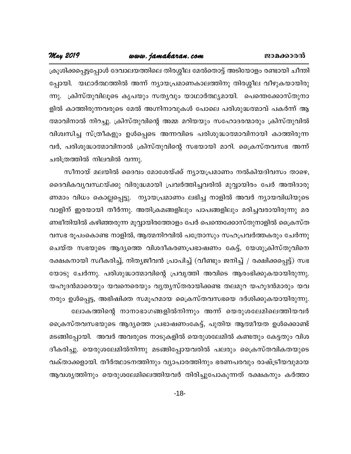### www.jamakaran.com

#### May 2019

ക്രൂശിക്കപ്പെട്ടപ്പോൾ ദേവാലയത്തിലെ തിരശ്ശീല മേൽതൊട്ട് അടിയോളം രണ്ടായി ചീന്തി പ്പോയി. യഥാർത്ഥത്തിൽ അന്ന് ന്യായപ്രമാണകാലത്തിനു തിരശ്ശീല വീഴുകയായിരു ക്രിസ്തുവിലൂടെ കൃപയും സത്യവും യാഥാർത്ഥ്യമായി. പെന്തെക്കോസ്തുനാ  $m<sub>l</sub>$ . ളിൽ കാത്തിരുന്നവരുടെ മേൽ അഗ്നിനാവുകൾ പോലെ പരിശുദ്ധത്മാവ് പകർന്ന് ആ ത്മാവിനാൽ നിറച്ചു. ക്രിസ്തുവിന്റെ അമ്മ മറിയയും സഹോദരന്മാരും ക്രിസ്തുവിൽ വിശ്വസിച്ച സ്ത്രീകളും ഉൾപ്പെടെ അന്നവിടെ പരിശുദ്ധാത്മാവിനായി കാത്തിരുന്ന വർ, പരിശുദ്ധാത്മാവിനാൽ ക്രിസ്തുവിന്റെ സഭയായി മാറി. ക്രൈസ്തവസഭ അന്ന് ചരിത്രത്തിൽ നിലവിൽ വന്നു.

സീനായ് മലയിൽ ദൈവം മോശേയ്ക്ക് ന്യായപ്രമാണം നൽകിയദിവസം താഴെ, ദൈവികവൃവസ്ഥയ്ക്കു വിരുദ്ധമായി പ്രവർത്തിച്ചവരിൽ മുവ്വായിരം പേർ അതിദാരു ണമാം വിധം കൊല്ലപ്പെട്ടു. ന്യായപ്രമാണം ലഭിച്ച നാളിൽ അവർ ന്യായവിധിയുടെ വാളിന് ഇരയായി തീർന്നു. അതിക്രമങ്ങളിലും പാപങ്ങളിലും മരിച്ചവരായിരുന്നു മര ണഭീതിയിൽ കഴിഞ്ഞരുന്ന മൂവ്വായിരത്തോളം പേർ പെന്തെക്കോസ്തുനാളിൽ ക്രൈസ്ത വസഭ രൂപംകൊണ്ട നാളിൽ, ആത്മനിറവിൽ പത്രോസും സഹപ്രവർത്തകരും ചേർന്നു ചെയ്ത സഭയുടെ ആദ്യത്തെ വിശദീകരണപ്രഭാഷണം കേട്ട്, യേശുക്രിസ്തുവിനെ രക്ഷകനായി സ്വീകരിച്ച്, നിത്യജീവൻ പ്രാപിച്ച് (വീണ്ടും ജനിച്ച് / രക്ഷിക്കപ്പെട്ട്) സഭ യോടു ചേർന്നു. പരിശുദ്ധാത്മാവിന്റെ പ്രവൃത്തി അവിടെ ആരംഭിക്കുകയായിരുന്നു. യഹൂദൻമാരെയും യവനെരെയും വ്യത്യസ്തരായിക്കണ്ട തലമുറ യഹൂദൻമാരും യവ നരും ഉൾപ്പെട്ട, അഭിഷിക്ത സമൂഹമായ ക്രൈസ്തവസഭയെ ദർശിക്കുകയായിരുന്നു. ലോകത്തിന്റെ നാനാഭാഗങ്ങളിൽനിന്നും അന്ന് യെരുശലേമിലെത്തിയവർ ക്രൈസ്തവസഭയുടെ ആദ്യത്തെ പ്രഭാഷണംകേട്ട്, പുതിയ ആത്മീയത ഉൾക്കൊണ്ട്

മടങ്ങിപ്പോയി. അവർ അവരുടെ നാടുകളിൽ യെരുശലേമിൽ കണ്ടതും കേട്ടതും വിശ ദീകരിച്ചു. യെരുശലേമിൽനിന്നു മടങ്ങിപ്പോയവരിൽ പലരും ക്രൈസ്തവികതയുടെ വക്താക്കളായി. തീർത്ഥാടനത്തിനും വ്യാപാരത്തിനും ഭരണപരവും രാഷ്ട്രീയവുമായ ആവശ്യത്തിനും യെരുശലേമിലെത്തിയവർ തിരിച്ചുപോകുന്നത് രക്ഷകനും കർത്താ

 $-18-$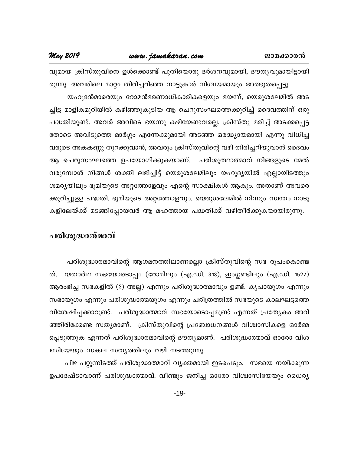വുമായ ക്രിസ്തുവിനെ ഉൾക്കൊണ്ട് പുതിയൊരു ദർശനവുമായി, ദൗതൃവുമായിട്ടായി രുന്നു. അവരിലെ മാറ്റം തിരിച്ചറിഞ്ഞ നാട്ടുകാർ നിശ്ചയമായും അത്ഭുതപ്പെട്ടു. യഹൂദൻമാരെയും റോമൻഭരണാധികാരികളെയും ഭയന്ന്, യെരുശലേമിൽ അട ച്ചിട്ട മാളികമുറിയിൽ കഴിഞ്ഞുകൂടിയ ആ ചെറുസംഘത്തെക്കുറിച്ച് ദൈവത്തിന് ഒരു പദ്ധതിയുണ്ട്. അവർ അവിടെ ഭയന്നു കഴിയേണ്ടവരല്ല. ക്രിസ്തു മരിച്ച് അടക്കപ്പെട്ട തോടെ അവിടുത്തെ മാർഗ്ഗം എന്നേക്കുമായി അടഞ്ഞ ഒരദ്ധ്യായമായി എന്നു വിധിച്ച വരുടെ അകകണ്ണു തുറക്കുവാൻ, അവരും ക്രിസ്തുവിന്റെ വഴി തിരിച്ചറിയുവാൻ ദൈവം ആ ചെറുസംഘത്തെ ഉപയോഗിക്കുകയാണ്. പരിശുത്ഥാത്മാവ് നിങ്ങളുടെ മേൽ വരുമ്പോൾ നിങ്ങൾ ശക്തി ലഭിച്ചിട്ട് യെരുശലേമിലും യഹൂദ്യയിൽ എല്ലായിടത്തും ശമര്യയിലും ഭൂമിയുടെ അറ്റത്തോളവും എന്റെ സാക്ഷികൾ ആകും. അതാണ് അവരെ ക്കുറിച്ചുളള പദ്ധതി. ഭൂമിയുടെ അറ്റത്തോളവും. യെരുശലേമിൽ നിന്നും സ്വന്തം നാടു കളിലേയ്ക്ക് മടങ്ങിപ്പോയവർ ആ മഹത്തായ പദ്ധതിക്ക് വഴിതീർക്കുകയായിരുന്നു.

#### പരിശുദ്ധാത്മാവ്

പരിശുദ്ധാത്മാവിന്റെ ആഗമനത്തിലാണല്ലൊ ക്രിസ്തുവിന്റെ സഭ രൂപംകൊണ്ട ത്. യതാർഥ സഭയോടൊപ്പം (റോമിലും (എ.ഡി. 313), ഇംഗ്ലണ്ടിലും (എ.ഡി. 1527) ആരംഭിച്ച സഭകളിൽ (?) അല്ല) എന്നും പരിശുദ്ധാത്മാവും ഉണ്ട്. കൃപായുഗം എന്നും സഭായുഗം എന്നും പരിശുദ്ധാത്മയുഗം എന്നും ചരിത്രത്തിൽ സഭയുടെ കാലഘട്ടത്തെ വിശേഷിപ്പക്കാറുണ്ട്. പരിശുദ്ധാത്മാവ് സഭയോടൊപ്പമുണ്ട് എന്നത് പ്രത്യേകം അറി ഞ്ഞിരിക്കേണ്ട സത്യമാണ്. ക്രിസ്തുവിന്റെ പ്രബോധനങ്ങൾ വിശ്വാസികളെ ഓർമ്മ പ്പെടുത്തുക എന്നത് പരിശുദ്ധാത്മാവിന്റെ ദൗത്യമാണ്. പരിശുദ്ധാത്മാവ് ഓരോ വിശ ്വസിയേയും സകല സത്യത്തിലും വഴി നടത്തുന്നു.

പിഴ പറ്റുന്നിടത്ത് പരിശുദ്ധാത്മാവ് വൃക്തമായി ഇടപെടും. സഭയെ നയിക്കുന്ന ഉപദേഷ്ടാവാണ് പരിശുദ്ധാത്മാവ്. വീണ്ടും ജനിച്ച ഓരോ വിശ്വാസിയേയും ധൈര്യ

 $-19-$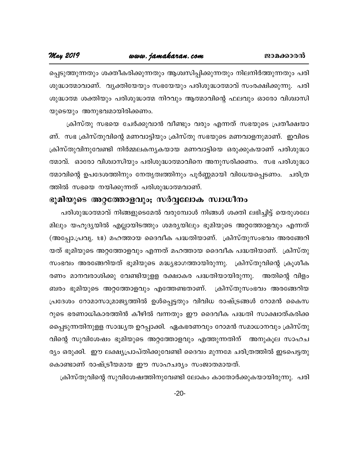*s) - Sp- T-Cliq - Cliq - Lamakaran May 2019*<br>കെട്ടുത്തുന്നതും ശക്തികരിക്കുന്നതും ആശുസിപ്പിക്കുന്നതും നിലനിർത്തുന്നതും പരി<br>ശുദ്ധാത്മാവാണ്. വൃക്തിയേയും സഭയേയും പരിശുദ്ധാത്മാവ് സംരക്ഷിക്കുന്നു. പരി ip-²m-ßm-hm-Wv. hy-àn -tbbpw k`-tbbpw ]cn -ip-²m-ßmhv kwc -£n -¡p-¶p. ]cn ical Correction of the matrix of the matrix of the matrix of the matrix of the matrix of the matrix of the mat<br>individual consideration of the matrix of the matrix of the matrix of the matrix of the matrix of the matrix o പ്പെടുത്തുന്നതും ശക്തീകരിക്കുന്നതും ആശ്വസിപ്പിക്കുന്നതും നിലനിർത്തുന്നതും പരി<br>ശുദ്ധാത്മാവാണ്. വ്യക്തിയേയും സഭയേയും പരിശുദ്ധാത്മാവ് സംരക്ഷിക്കുന്നു. പരി<br>ശുദ്ധാത്മ ശക്തിയും പരിശുദ്ധാത്മ നിറവും ആത്മാവിന്റെ ഫലവും ഓരോ വിശ്വാ ശുദ്ധാത്മാവാണ്. വൃക്തിയേയും സഭയേയും പരിശുദ്ധാത്മാവ് സംരക്ഷിക്കുന്നു. പരി<br>ശുദ്ധാത്മ ശക്തിയും പരിശുദ്ധാത്മ നിറവും ആത്മാവിന്റെ ഫലവും ഓരോ വിശ്വാസി<br>യുടെയും അനുഭവമായിരിക്കണം.<br>ബ്. സഭ ക്രിസ്തുവിന്റെ മണവാട്ടിയും ക്രിസ്തു സഭയുടെ മണ

ണ്. സഭ ക്രിസ്തുവിന്റെ മണവാട്ടിയും ക്രിസ്തു സഭയുടെ മണവാളനുമാണ്. ഇവിടെ യുടെയും അനുഭവമായിരിക്കണം.<br>പ്രിസ്തു സഭയെ ചേർക്കുവാൻ വീണ്ടും വരും എന്നത് സഭയുടെ പ്രതീക്ഷയാ<br>ണ്. സഭ ക്രിസ്തുവിന്റെ മണവാട്ടിയും ക്രിസ്തു സഭയുടെ മണവാളനുമാണ്. ഇവിടെ<br>ക്രിസ്തുവിനുവേണ്ടി നിർമ്മലകനൃകയായ മണവാട്ടിയെ ഒരുക്കുകയാണ് പരിശു ക്രിസ്തു സഭയെ ചേർക്കുവാൻ വീണ്ടും വരും എന്നത് സഭയുടെ പ്രതീക്ഷയാ<br>ണ്. സഭ ക്രിസ്തുവിന്റെ മണവാട്ടിയും ക്രിസ്തു സഭയുടെ മണവാളനുമാണ്. ഇവിടെ<br>ക്രിസ്തുവിനുവേണ്ടി നിർമ്മലകന്യകയായ മണവാട്ടിയെ ഒരുക്കുകയാണ് പരിശുദ്ധാ<br>ത്മാവ്. ഓരോ വിശ്വാസി ണ്. സഭ ക്രിസ്തുവിന്റെ മണവാട്ടിയും ക്രിസ്തു സഭയുടെ മണവാളനുമാണ്. ഇവിടെ<br>ക്രിസ്തുവിനുവേണ്ടി നിർമ്മലകന്യകയായ മണവാട്ടിയെ ഒരുക്കുകയാണ് പരിശുദ്ധാ<br>ത്മാവ്. ഓരോ വിശ്വാസിയും പരിശുദ്ധാത്മാവിനെ അനുസരിക്കണം. സഭ പരിശുദ്ധാ<br>ത്മാവിന്റെ ഉപദേ ക്രിസ്തുവിനുവേണ്ടി നിർമ്മലകനൃകയായ മണവാട്ടിന്റെ<br>ത്മാവ്. ഓരോ വിശ്വാസിയും പരിശുദ്ധാത്മാവിനെ അനു<br>ത്മാവിന്റെ ഉപദേശത്തിനും നേതൃത്വത്തിനും പൂർണ്ണമാറ<br>ത്തിൽ സഭയെ നയിക്കുന്നത് പരിശുദ്ധാത്മവാണ്.<br>ഭൂ**മിയുടെ അറ്റത്തോളവും; സർവ്വലോക സ്വ** 

### ഭൂമിയുടെ അറ്റത്തോളവും<del>,</del> സർവ്വലോക സ്ഥാധീനം

ത്മാവിന്റെ ഉപദേശത്തിനും നേതൃത്വത്തിനും പൂർണ്ണമായി വിധേയപ്പെടണം. ചരിത്ര<br>ത്തിൽ സഭയെ നയിക്കുന്നത് പരിശുദ്ധാത്മവാണ്.<br>ഭൂ**മിയുടെ അറ്റത്തോളവും; സർവ്വലോക സ്വാധീനം**<br>ചരിശുദ്ധാത്മാവ് നിങ്ങളുടെമേൽ വരുമ്പോൾ നിങ്ങൾ ശക്തി ലഭിച്ചിട്ട് യ ത്തിൽ സഭയെ നയിക്കുന്നത് പരിശുദ്ധാത്മവാണ്.<br>ഭൂ**മിയുടെ അറ്റത്തോളവും; സർവ്വലോക സ്വാധീനം**<br>പരിശുദ്ധാത്മാവ് നിങ്ങളുടെമേൽ വരുമ്പോൾ നിങ്ങൾ ശക്തി ലഭിച്ചിട്ട് യെരുശലേ<br>മിലും യഹൂദ്യയിൽ എല്ലായിടത്തും ശമര്യയിലും ഭൂമിയുടെ അറ്റത്തോളവും എന **ഭൂമിയുടെ അറ്റത്തോളവും; സർവ്വലോക സ്വാധീനം**<br>പരിശുദ്ധാത്മാവ് നിങ്ങളുടെമേൽ വരുമ്പോൾ നിങ്ങൾ ശക്തി ലഭിച്ചിട്ട് യെരുശലേ<br>മിലും യഹൂദ്യയിൽ എല്ലായിടത്തും ശമര്യയിലും ഭൂമിയുടെ അറ്റത്തോളവും എന്നത്<br>(അപ്പോ.പ്രവൃ. 1:8) മഹത്തായ ദൈവീക പദ്ധ പരിശുദ്ധാത്മാവ് നിങ്ങളുടെമേൽ വരുമ്പോൾ നിങ്ങൾ ശക്തി ലഭിച്ചിട്ട് യെരുശലേ<br>മിലും യഹൂദ്യയിൽ എല്ലായിടത്തും ശമര്യയിലും ഭൂമിയുടെ അറ്റത്തോളവും എന്നത്<br>(അപ്പോ.പ്രവൃ. 1:8) മഹത്തായ ദൈവീക പദ്ധതിയാണ്. ക്രിസ്തുസംഭവം അരങ്ങേറി<br>യത് ഭൂമിയുട മിലും യഹൂദ്യയിൽ എല്ലായിടത്തും ശമര്യയിലും ഭൂമിയുടെ അറ്റത്തോളവും എന്നത്<br>(അപ്പോ.പ്രവ്യ. 1:8) മഹത്തായ ദൈവീക പദ്ധതിയാണ്. ക്രിസ്തുസംഭവം അരങ്ങേറി<br>യത് ഭൂമിയുടെ അറ്റത്തോളവും എന്നത് മഹത്തായ ദൈവീക പദ്ധതിയാണ്. ക്രിസ്തു<br>സംഭവം അരങ്ങേ (അപ്പോ.പ്രവൃ. 1:8) മഹത്തായ ദൈവീക പദ്ധതിയാണ്. ക്രിസ്തുസംഭവം അരങ്ങേറി<br>യത് ഭൂമിയുടെ അറ്റത്തോളവും എന്നത് മഹത്തായ ദൈവീക പദ്ധതിയാണ്. ക്രിസ്തു<br>സംഭവം അരങ്ങേറിയത് ഭൂമിയുടെ മദ്ധ്യഭാഗത്തായിരുന്നു. ക്രിസ്തുവിന്റെ ക്രൂശീക<br>രണം മ ബരം ഭൂമിയുടെ അറ്റത്തോളവും എത്തേണ്ടതാണ്. ക്രിസ്തുസംഭവം അരങ്ങേറിയ<br>പ്രദേശം റോമാസാമ്രാജ്യത്തിൽ ഉൾപ്പെട്ടതും വിവിധ രാഷ്ട്രങ്ങൾ റോമൻ കൈസ<br>റുടെ ഭരണാധികാരത്തിൻ കീഴിൽ വന്നതും ഈ ദൈവീക പദ്ധതി സാക്ഷാത്കരിക്ക സംഭവം അരങ്ങേറിയത് ഭൂമിയുടെ മദ്ധ്യഭാഗത്തായിരുന്നു. ക്രിസ്തുവിന്റെ ക്രൂശീക<br>രണം മാനവരാശിക്കു വേണ്ടിയുളള രക്ഷാകര പദ്ധതിയായിരുന്നു. അതിന്റെ വിളം<br>ബരം ഭൂമിയുടെ അറ്റത്തോളവും എത്തേണ്ടതാണ്. ക്രിസ്തുസംഭവം അരങ്ങേറിയ<br>പ്രദേശം റോമാസാ രണം മാനവരാശിക്കു വേണ്ടിയുളള രക്ഷാകര പദ്ധതിയായിരുന്നു. അതിന്റെ വിളം<br>ബരം ഭൂമിയുടെ അറ്റത്തോളവും എത്തേണ്ടതാണ്. ക്രിസ്തുസംഭവം അരങ്ങേറിയ<br>പ്രദേശം റോമാസാമ്രാജ്യത്തിൽ ഉൾപ്പെട്ടതും വിവിധ രാഷ്ട്രങ്ങൾ റോമൻ കൈസ<br>റുടെ ഭരണാധികാരത്തിൻ ക ബരം ഭൂമിയുടെ അറ്റത്തോളവും എത്തേണ്ടതാണ്. ക്രിസ്തുസംഭവം അരങ്ങേറിയ<br>പ്രദേശം റോമാസാമ്രാജ്യത്തിൽ ഉൾപ്പെട്ടതും വിവിധ രാഷ്ട്രങ്ങൾ റോമൻ കൈസ<br>റുടെ ഭരണാധികാരത്തിൻ കീഴിൽ വന്നതും ഈ ദൈവീക പദ്ധതി സാക്ഷാത്കരിക്ക<br>പ്രൈറ്റ് സുവിശേഷം ഭൂമിയുട പ്രദേശം റോമാസാമ്രാജ്യത്തിൽ ഉൾപ്പെട്ടതും വിവിധ രാഷ്ട്രങ്ങൾ റോമൻ കൈസ<br>റുടെ ഭരണാധികാരത്തിൻ കീഴിൽ വന്നതും ഈ ദൈവീക പദ്ധതി സാക്ഷാത്കരിക്ക<br>പ്പൈടുന്നതിനുളള സാദ്ധ്യത ഉറപ്പാക്കി. ഏകഭരണവും റോമൻ സമാധാനവും ക്രിസ്തു<br>വിന്റെ സുവിശേഷം ഭൂമി റുടെ ഭരണാധികാരത്തിൻ കീഴിൽ വന്നതും ഈ ദൈവീക പദ്ധതി സാക്ഷാത്കരിക്ക<br>പ്പൈടുന്നതിനുളള സാദ്ധ്യത ഉറപ്പാക്കി. ഏകഭരണവും റോമൻ സമാധാനവും ക്രിസ്തു<br>വിന്റെ സുവിശേഷം ഭൂമിയുടെ അറ്റത്തോളവും എത്തുന്നതിന് അനുകൂല സാഹച<br>ര്യം ഒരുക്കി. ഈ ല പ്പൈടുന്നതിനുളള സാദ്ധ്യത ഉറപ്പാക്കി. ഏകഭരണവും റോമൻ സമാധാനവും ക്രിസ്<br>വിന്റെ സുവിശേഷം ഭൂമിയുടെ അറ്റത്തോളവും എത്തുന്നതിന് അനുകൂല സാഹ<br>ര്യം ഒരുക്കി. ഈ ലക്ഷ്യപ്രാപ്തിക്കുവേണ്ടി ദൈവം മുന്നമേ ചരിത്രത്തിൽ ഇടപെട്ട<br>കൊണ്ടാണ് രാഷ്ട് വിന്റെ സുവിശേഷം ഭൂമിയുടെ അറ്റത്തോളവും എത്തുന്നതിന് അനുകൂല സാഹച<br>ര്യം ഒരുക്കി. ഈ ലക്ഷ്യപ്രാപ്തിക്കുവേണ്ടി ദൈവം മുന്നമേ ചരിത്രത്തിൽ ഇടപെട്ടതു<br>കൊണ്ടാണ് രാഷ്ട്രീയമായ ഈ സാഹചര്യം സംജാതമായത്.<br>(കിസ്തുവിന്റെ സുവിശേഷത്തിനുവേണ്ടി ല

-20-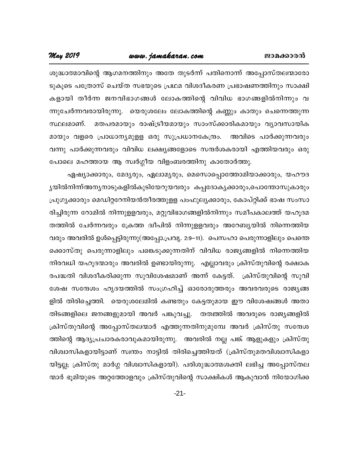#### www.jamakaran.com

#### May 2019

ശുദ്ധാത്മാവിന്റെ ആഗമനത്തിനും അതേ തുടർന്ന് പതിനൊന്ന് അപ്പോസ്തലന്മാരോ ടുകൂടെ പത്രോസ് ചെയ്ത സഭയുടെ പ്രഥമ വിശദീകരണ പ്രഭാഷണത്തിനും സാക്ഷി കളായി തീർന്ന ജനവിഭാഗങ്ങൾ ലോകത്തിന്റെ വിവിധ ഭാഗങ്ങളിൽനിന്നും വ ന്നുചേർന്നവരായിരുന്നു. യെരുശലേം ലോകത്തിന്റെ കണ്ണും കാതും ചെന്നെത്തുന്ന മതപരമായും രാഷ്ട്രീയമായും സാംസ്ക്കാരികമായും വ്യാവസായിക സ്ഥലമാണ്. മായും വളരെ പ്രാധാന്യമുളള ഒരു സുപ്രധാനകേന്ദ്രം. അവിടെ പാർക്കുന്നവരും വന്നു പാർക്കുന്നവരും വിവിധ ലക്ഷ്യങ്ങളോടെ സന്ദർശകരായി എത്തിയവരും ഒരു പോലെ മഹത്തായ ആ സ്വർഗ്ഗീയ വിളംബരത്തിനു കാതോർത്തു.

ഏഷ്യാക്കാരും, മേദ്യരും, ഏലാമ്യരും, മെസൊപ്പൊത്തോമിയാക്കാരും, യഹൗദ ൃയിൽനിന്ന്അനൃനാടുകളിൽകുടിയേറുയവരും കപ്പദോകൃക്കാരും,പൊന്തോസുകാരും പ്രുഗൃക്കാരും മെഡിറ്ററേനിയൻതീരത്തുളള പംഫുലൃക്കാരും, കോപ്റ്റിക്ക് ഭാഷ സംസാ രിച്ചിരുന്ന റോമിൽ നിന്നുളളവരും, മറ്റുവിഭാഗങ്ങളിൽനിന്നും സമീപകാലത്ത് യഹൂദമ തത്തിൽ ചേർന്നവരും ക്രേത്ത ദ്വീപിൽ നിന്നുളളവരും അറേബ്യയിൽ നിന്നെത്തിയ വരും അവരിൽ ഉൾപ്പെട്ടിരുന്നു(അപ്പോ.പ്രവൃ. 2:9–11). പെസഹാ പെരുന്നാളിലും പെന്തെ ക്കൊസ്തു പെരുന്നാളിലും പങ്കെടുക്കുന്നതിന് വിവിധ രാജ്യങ്ങളിൽ നിന്നെത്തിയ നിരവധി യഹൂദന്മാരും അവരിൽ ഉണ്ടായിരുന്നു. എല്ലാവരും ക്രിസ്തുവിന്റെ രക്ഷാക രപദ്ധതി വിശദീകരിക്കുന്ന സുവിശേഷമാണ് അന്ന് കേട്ടത്. ക്രിസ്തുവിന്റെ സുവി ശേഷ സന്ദേശം ഹൃദയത്തിൽ സംഗ്രഹിച്ച് ഓരോരുത്തരും അവരവരുടെ രാജൃങ്ങ ളിൽ തിരിച്ചെത്തി. യെരുശലേമിൽ കണ്ടതും കേട്ടതുമായ ഈ വിശേഷങ്ങൾ അതാ തിടങ്ങളിലെ ജനങ്ങളുമായി അവർ പങ്കുവച്ചു. തത്ത്തിൽ അവരുടെ രാജ്യങ്ങളിൽ ക്രിസ്തുവിന്റെ അപ്പോസ്തലന്മാർ എത്തുന്നതിനുമുമ്പേ അവർ ക്രിസ്തു സന്ദേശ ത്തിന്റെ ആദ്യപ്രചാരകരാവുകമായിരുന്നു. അവരിൽ നല്ല പങ്ക് ആളുകളും ക്രിസ്തു വിശ്വാസികളായിട്ടാണ് സ്വന്തം നാട്ടിൽ തിരിച്ചെത്തിയത് (ക്രിസ്തുമതവിശ്വാസികളാ യിട്ടല്ല; ക്രിസ്തു മാർഗ്ഗ വിശ്വാസികളായി). പരിശുദ്ധാത്മശക്തി ലഭിച്ച അപ്പോസ്തല ന്മാർ ഭൂമിയുടെ അറ്റത്തോളവും ക്രിസ്തുവിന്റെ സാക്ഷികൾ ആകുവാൻ നിയോഗിക്ക

 $-21-$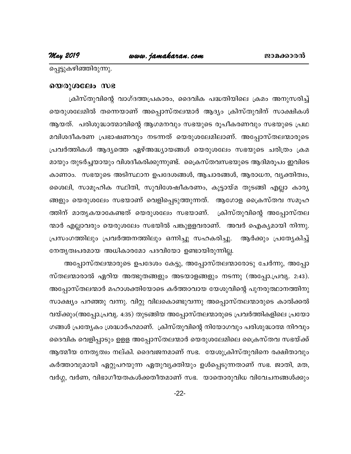പ്പെട്ടുകഴിഞ്ഞിരുന്നു.

#### യെരുശലേം സഭ

ക്രിസ്തുവിന്റെ വാഗ്ദത്തപ്രകാരം, ദൈവിക പദ്ധതിയിലെ ക്രമം അനുസരിച്ച് യെരുശലേമിൽ തന്നെയാണ് അപ്പൊസ്തലന്മാർ ആദ്യം ക്രിസ്തുവിന് സാക്ഷികൾ ആയത്. പരിശുദ്ധാത്മാവിന്റെ ആഗമനവും സഭയുടെ രൂപീകരണവും സഭയുടെ പ്രഥ മവിശദീകരണ പ്രഭാഷണവും നടന്നത് യെരുശലേമിലാണ്. അപ്പോസ്തലന്മാരുടെ പ്രവർത്തികൾ ആദ്യത്തെ ഏഴ്അദ്ധ്യായങ്ങൾ യെരുശലേം സഭയുടെ ചരിത്രം ക്രമ മായും തുടർച്ചയായും വിശദീകരിക്കുന്നുണ്ട്. ക്രൈസ്തവസഭയുടെ ആദിമരൂപം ഇവിടെ കാണാം. സഭയുടെ അടിസ്ഥാന ഉപദേശങ്ങൾ, ആചാരങ്ങൾ, ആരാധന, വ്യക്തിത്വം, ശൈലി, സാമൂഹിക സ്ഥിതി, സുവിശേഷീകരണം, കൂട്ടായ്മ തുടങ്ങി എല്ലാ കാര്യ ങ്ങളും യെരുശലേം സഭയാണ് വെളിപ്പെടുത്തുന്നത്. ആഗോള ക്രൈസ്തവ സമൂഹ ത്തിന് മാതൃകയാകേണ്ടത് യെരുശലേം സഭയാണ്. ക്രിസ്തുവിന്റെ അപ്പോസ്തല ന്മാർ എല്ലാവരും യെരുശലേം സഭയിൽ പങ്കുളളവരാണ്. അവർ ഐക്യമായി നിന്നു. പ്രസംഗത്തിലും പ്രവർത്തനത്തിലും ഒന്നിച്ചു സഹകരിച്ചു. ആർക്കും പ്രത്യേകിച്ച് നേതൃത്വപരമായ അധികാരമോ പദവിയോ ഉണ്ടായിരുന്നില്ല.

അപ്പോസ്തലന്മാരുടെ ഉപദേശം കേട്ടു, അപ്പോസ്തലന്മാരോടു ചേർന്നു, അപ്പോ സ്തലന്മാരാൽ ഏറിയ അത്ഭുതങ്ങളും അടയാളങ്ങളും നടന്നു (അപ്പോ.പ്രവൃ. 2:43). അപ്പോസ്തലന്മാർ മഹാശക്തിയോടെ കർത്താവായ യേശുവിന്റെ പുനരുത്ഥാനത്തിനു സാക്ഷ്യം പറഞ്ഞു വന്നു. വിറ്റു വിലകൊണ്ടുവന്നു അപ്പൊസ്തലന്മാരുടെ കാൽക്കൽ വയ്ക്കും(അപ്പോ.പ്രവൃ. 4:35) തുടങ്ങിയ അപ്പോസ്തലന്മാരുടെ പ്രവർത്തികളിലെ പ്രയോ ഗങ്ങൾ പ്രത്യേകം ശ്രദ്ധാർഹമാണ്. ക്രിസ്തുവിന്റെ നിയോഗവും പരിശുദ്ധാത്മ നിറവും ദൈവിക വെളിപ്പാടും ഉളള അപ്പോസ്തലന്മാർ യെരുശലേമിലെ ക്രൈസ്തവ സഭയ്ക്ക് ആത്മീയ നേതൃത്വം നല്കി. ദൈവജനമാണ് സഭ. യേശുക്രിസ്തുവിനെ രക്ഷിതാവും കർത്താവുമായി ഏറ്റുപറയുന്ന ഏതുവൃക്തിയും ഉൾപ്പെടുന്നതാണ് സഭ. ജാതി, മത, വർഗ്ഗ, വർണ, വിഭാഗീയതകൾക്കതീതമാണ് സഭ. യാതൊരുവിധ വിവേചനങ്ങൾക്കും

 $-22-$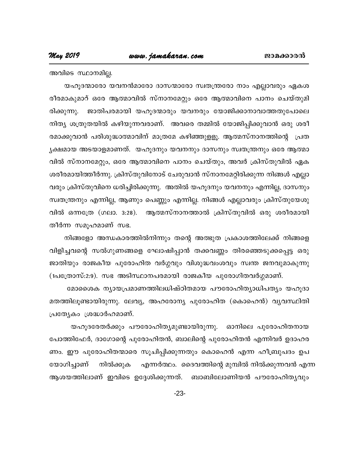അവിടെ സ്ഥാനമില്ല.

യഹൂദന്മാരോ യവനൻമാരോ ദാസന്മാരോ സ്വതന്ത്രരോ നാം എല്ലാവരും ഏകശ രീരമാകുമാറ് ഒരേ ആത്മാവിൽ സ്നാനമേറ്റും ഒരേ ആത്മാവിനെ പാനം ചെയ്തുമി ജാതിപരമായി യഹൂദന്മാരും യവനരും യോജിക്കാനാവാത്തതുപോലെ രിക്കുന്നു. നിത്യ ശത്രുതയിൽ കഴിയുന്നവരാണ്. അവരെ തമ്മിൽ യോജിപ്പിക്കുവാൻ ഒരു ശരീ രമാക്കുവാൻ പരിശുദ്ധാത്മാവിന് മാത്രമേ കഴിഞ്ഞുളളൂ. ആത്മസ്നാനത്തിന്റെ പ്രത ൃക്ഷമായ അടയാളമാണത്. യഹൂദനും യവനനും ദാസനും സ്വതന്ത്രനും ഒരേ ആത്മാ വിൽ സ്നാനമേറ്റും, ഒരേ ആത്മാവിനെ പാനം ചെയ്തും, അവർ ക്രിസ്തുവിൽ ഏക ശരീരമായിത്തീർന്നു. ക്രിസ്തുവിനോട് ചേരുവാൻ സ്നാനമേറ്റിരിക്കുന്ന നിങ്ങൾ എല്ലാ വരും ക്രിസ്തുവിനെ ധരിച്ചിരിക്കുന്നു. അതിൽ യഹൂദനും യവനനും എന്നില്ല, ദാസനും സ്വതന്ത്രനും എന്നില്ല, ആണും പെണ്ണും എന്നില്ല. നിങ്ങൾ എല്ലാവരും ക്രിസ്തുയേശു വിൽ ഒന്നത്രേ (ഗലാ. 3:28). ആത്മസ്നാനത്താൽ ക്രിസ്തുവിൽ ഒരു ശരീരമായി തീർന്ന സമൂഹമാണ് സഭ.

നിങ്ങളോ അന്ധകാരത്തിൽനിന്നും തന്റെ അത്ഭുത പ്രകാശത്തിലേക്ക് നിങ്ങളെ വിളിച്ചവന്റെ സൽഗുണങ്ങളെ ഘോഷിപ്പാൻ തക്കവണ്ണം തിരഞ്ഞെടുക്കപ്പെട്ട ഒരു ജാതിയും രാജകീയ പുരോഹിത വർഗ്ഗവും വിശുദ്ധവംശവും സ്വന്ത ജനവുമാകുന്നു (1പത്രോസ്:2:9). സഭ അടിസ്ഥാനപരമായി രാജകീയ പുരോഗിതവർഗ്ഗമാണ്.

മോശൈക ന്യായപ്രമാണത്തിലധിഷ്ഠിതമായ പൗരോഹിത്യാധിപത്യം യഹൂദാ മതത്തിലൂണ്ടായിരുന്നു. ലേവ്യ, അഹരോന്യ പുരോഹിത (കൊഹെൻ) വ്യവസ്ഥിതി പ്രത്യേകം ശ്രദ്ധാർഹമാണ്.

യഹൂദരേതർക്കും പൗരോഹിത്യമുണ്ടായിരുന്നു. ഓനിലെ പുരോഹിതനായ പോത്തിഫേർ, ദാഗോന്റെ പുരോഹിതൻ, ബാലിന്റെ പുരോഹിതൻ എന്നിവർ ഉദാഹര ണം. ഈ പുരോഹിതന്മാരെ സൂചിപ്പിക്കുന്നതും കൊഹെൻ എന്ന ഹീബ്രുപദം ഉപ യോഗിച്ചാണ് ' നിൽക്കുക' എന്നർത്ഥം. ദൈവത്തിന്റെ മുമ്പിൽ നിൽക്കുന്നവൻ എന്ന ആശയത്തിലാണ് ഇവിടെ ഉദ്ദേശിക്കുന്നത്. ബാബിലോണിയൻ പൗരോഹിതൃവും

 $-23-$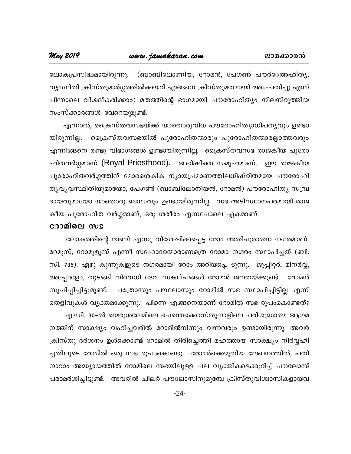*tem 2019 www.jamakaran.com*<br>ചാരപ്രസിദ്ധമായിരുന്നു. (ബാബിലോണിയ, റോമൻ, പേഗൺ പൗർേഅഹിതൃ,<br>വൃസ്ഥിതി ക്രിസ്തുമാർഗ്ഗത്തിൽക്കയറി എങ്ങനെ ക്രിസ്തുമതമായി അധ:പതിച്ചു എന്ന്<br>പിണ്ടാലെ വിശാരി വിരാലം) മതത്തിന്റെ ദാശമായി പാരാള റിത്രം നിലയി hy--ØnXn {InkvXp-amÀ¤-¯n¡-bdn F§s\ {InkvXp-a-X -ambn A[:-]-Xn¨p F¶v  $\frac{1}{2}$ ന് - 2009 - 2009 - 2009 - 2009 - 2009 - 2009 - 2009 - 2009 - 2009 - 2009 - 2009 - 2009 - 2009 - 2009 - 2009 - 2009 - 2009 - 2009 - 2009 - 2009 - 2009 - 2009 - 2009 - 2009 - 2009 - 2009 - 2009 - 2009 - 2009 - 200 ലോകപ്രസിദ്ധമായിരുന്നു. (ബാബ<br>വൃസ്ഥിതി ക്രിസ്തുമാർഗ്ഗത്തിൽക്കയ<br>പിന്നാലെ വിശദീകരിക്കാം) മതത്ത<br>സംസ്ക്കാരങ്ങൾ വേറെയുമുണ്ട്.<br>എന്നാൽ, ക്രൈസ്തവസഭയ്ക്ക്<br>സിറാണിലെ ക്കലം മറ്റ്കാണാണിൽ വൃസ്ഥിതി ക്രിസ്തുമാർഗ്ഗത്തിൽക്കയറി എങ്ങനെ ക്രിസ്തുമതമായി അധ:പതിച്ചു എന്ന്<br>പിന്നാലെ വിശദീകരിക്കാം) മതത്തിന്റെ ഭാഗമായി പൗരോഹിത്യം നിലനിറുത്തിയ<br>സംസ്ക്കാരങ്ങൾ വേറെയുമുണ്ട്.<br>എന്നാൽ, ക്രൈസ്തവസഭയ്ക്ക് യാതൊരുവിധ പൗരോഹിത്യാ

പിന്നാലെ വിശദീകരിക്കാം) മതത്തിന്റെ ഭാഗമായി പൗരോഹിത്യം നിലനിറുത്തിയ<br>സംസ്ക്കാരങ്ങൾ വേറെയുമുണ്ട്.<br>എന്നാൽ, ക്രൈസ്തവസഭയ്ക്ക് യാതൊരുവിധ പൗരോഹിത്യാധിപത്യവും ഉണ്ടാ<br>യിരുന്നില്ല. ക്രൈസ്തവസഭയിൽ പുരോഹിതന്മാരും പുരോഹിതന്മാരല്ലാത്തവരും സംസ്ക്കാരങ്ങൾ വേറെയൂമുണ്ട്.<br>എന്നാൽ, ക്രൈസ്തവസഭയ്ക്ക് യാതൊരുവിധ പൗരോഹിത്യാധിപത്യവും ഉണ്ടാ<br>യിരുന്നില്ല. ക്രൈസ്തവസഭയിൽ പുരോഹിതന്മാരും പുരോഹിതന്മാരല്ലാത്തവരും<br>എന്നിങ്ങനെ രണ്ടു വിഭാഗങ്ങൾ ഉണ്ടായിരുന്നില്ല. ക്രൈസ്തവസഭ രാജകീയ പുര എന്നാൽ, ക്രൈസ്തവസഭയ്ക്ക് യാതൊരുവിധ പൗരോഹിത്യാധിപത്യവും ഉണ്ടാ<br>യിരുന്നില്ല. ക്രൈസ്തവസഭയിൽ പുരോഹിതന്മാരും പുരോഹിതന്മാരല്ലാത്തവരും<br>എന്നിങ്ങനെ രണ്ടു വിഭാഗങ്ങൾ ഉണ്ടായിരുന്നില്ല. ക്രൈസ്തവസഭ രാജകീയ പുരോ<br>ഹിതവർഗ്ഗമാണ് (Royal P യിരുന്നില്ല. ക്രൈസ്തവസഭയിൽ പുരോഹിതന്മാരും പുരോഹിതന്മാരല്ലാത്തവരും<br>എന്നിങ്ങനെ രണ്ടു വിഭാഗങ്ങൾ ഉണ്ടായിരുന്നില്ല. ക്രൈസ്തവസഭ രാജകീയ പുരോ<br>ഹിതവർഗ്ഗമാണ് (Royal Priesthood). അഭിഷിക്ത സമൂഹമാണ്. ഈ രാജകീയ<br>പുരോഹിതവർഗ്ഗത്തിന് മോശൈകിക എന്നിങ്ങനെ രണ്ടു വിഭാഗങ്ങൾ ഉണ്ടായിരുന്നില്ല. ക്രൈസ്തവസഭ രാജകീയ പുരോ<br>ഹിതവർഗ്ഗമാണ് (Royal Priesthood). അഭിഷിക്ത സമൂഹമാണ്. ഈ രാജകീയ<br>പുരോഹിതവർഗ്ഗത്തിന് മോശൈകിക ന്യായപ്രമാണത്തിലധിഷ്ഠിതമായ പൗരോഹി<br>തൃവ്യവസ്ഥിതിയുമായോ, പേഗൺ (ബാബ ഹിതവർഗ്ഗമാണ് (Royal Priesthood). അഭിഷിക്ത സമൂഹമാണ്. ഈ രാജകീയ<br>പുരോഹിതവർഗ്ഗത്തിന് മോശൈകിക ന്യായപ്രമാണത്തിലധിഷ്ഠിതമായ പൗരോഹി<br>ത്യവ്യവസ്ഥിതിയുമായോ, പേഗൺ (ബാബിലോനിയൻ, റോമൻ) പൗരോഹിത്യ സമ്പ്ര<br>ദായവുമായോ യാതൊരു ബന്ധവും ഉണ്ടായിരുന തൃവൃവസ്ഥിതിയുമായോ, പേഗൺ (ബാബിലോനിയൻ, റോമൻ) പൗരോഹിതൃ സമ്പ്ര<br>ദായവുമായോ യാതൊരു ബന്ധവും ഉണ്ടായിരുന്നില്ല. സഭ അടിസ്ഥാനപരമായി രാജ<br>കീയ പുരോഹിത വർഗ്ഗമാണ്, ഒരു ശരീരം എന്നപോലെ ഏകമാണ്.<br>**റോമിലെ സഭ**<br>ലോകത്തിന്റെ റാണി എന്നു വിശേഷിക്കപ്

#### **ോമിലെ** സഭ

ദായവുമായോ യാതൊരു ബന്ധവും ഉണ്ടായിരുന്നില്ല. സഭ അടിസ്ഥാനപരമായി രാജ<br>കീയ പുരോഹിത വർഗ്ഗമാണ്, ഒരു ശരീരം എന്നപോലെ ഏകമാണ്.<br>����ിലെ സഭ<br>ലോകത്തിന്റെ റാണി എന്നു വിശേഷിക്കപ്പെട്ട റോം അതിപുരാതന നഗരമാണ്.<br>മേമൂസ്, റോമുളൂസ് എന്നീ സഹോദരന്മ കീയ പുരോഹിത വർഗ്ഗമാണ്, ഒരു ശരീരം എന്നപോലെ ഏകമാണ്.<br>**റോമിലെ സഭ**<br>ഭലാകത്തിന്റെ റാണി എന്നു വിശേഷിക്കപ്പെട്ട റോം അതിപൂരാതന നഗരമാണ്.<br>റേമൂസ്, റോമുളൂസ് എന്നീ സഹോദരന്മാരാണത്രെ റോമാ നഗരം സ്ഥാപിച്ചത് (ബി.<br>സി. 735). ഏഴു കുന്നുകളുടെ നഗ **റോമിലെ സഭ**<br>ലോകത്തിന്റെ റാണി എന്നു വിശേഷിക്കപ്പെട്ട റോം അതിപുരാതന നഗരമാണ്.<br>റേമൂസ്, റോമുളൂസ് എന്നീ സഹോദരന്മാരാണത്രെ റോമാ നഗരം സ്ഥാപിച്ചത് (ബി.<br>സി. 735). ഏഴു കുന്നുകളുടെ നഗരമായി റോം അറിയപ്പെ ടുന്നു. ജൂപ്പിറ്റർ, മിനർവ്വ,<br>അപ ലോകത്തിന്റെ റാണി എന്നു വിശേഷിക്കപ്പെട്ട റോം അതിപുരാതന നഗരമാണ്.<br>റേമൂസ്, റോമുളൂസ് എന്നീ സഹോദരന്മാരാണത്രെ റോമാ നഗരം സ്ഥാപിച്ചത് (ബി.<br>സി. 735). ഏഴു കുന്നുകളുടെ നഗരമായി റോം അറിയപ്പെ ടുന്നു. ജൂപ്പിറ്റർ, മിനർവ്വ,<br>അപ്പോളോ, തുടങ് റേമൂസ്, റോമുളൂസ് എന്നീ സഹോദരന്മാരാണത്രെ റോമാ നഗരം സ്ഥാപിച്ചത് (ബി.<br>സി. 735). ഏഴു കുന്നുകളുടെ നഗരമായി റോം അറിയപ്പെ ടുന്നു. ജൂപ്പിറ്റർ, മിനർവ്വ,<br>അപ്പോളോ, തുടങ്ങി നിരവധി ദേവ സങ്കല്പങ്ങൾ റോമൻ ജനതയ്ക്കുണ്ട്. റോമൻ<br>സൂചിപ്പിച്ച സി. 735). ഏഴു കുന്നുകളുടെ നഗരമായി റോം അറിയപ്പെ ടുന്നു. ജൂപ്പിറ്റർ, മിനർവ്വ,<br>അപ്പോളോ, തുടങ്ങി നിരവധി ദേവ സങ്കല്പങ്ങൾ റോമൻ ജനതയ്ക്കുണ്ട്. റോമൻ<br>സൂചിപ്പിച്ചിട്ടുമുണ്ട്. പത്രോസും പൗലോസും റോമിൽ സഭ സ്ഥാപിച്ചിട്ടില്ല എന്ന്<br>എ.ഡ അപ്പോളോ, തുടങ്ങി നിരവധി ദേവ സങ്കല്പങ്ങൾ റോമൻ ജനതയ്ക്കുണ്ട്. റോമൻ<br>സൂചിപ്പിച്ചിട്ടുമുണ്ട്. പത്രോസും പൗലോസും റോമിൽ സഭ സ്ഥാപിച്ചിട്ടില്ല എന്ന്<br>തെളിവുകൾ വ്യക്തമാക്കുന്നു. പിന്നെ എങ്ങനെയാണ് റോമിൽ സഭ രൂപംകൊണ്ടത്?<br> എ. സൂചിപ്പിച്ചിട്ടുമുണ്ട്. പത്രോസും പൗലോസും റോമിൽ സഭ സ്ഥാപിച്ചിട്ടില്ല എന്ന്<br>തെളിവുകൾ വ്യക്തമാക്കുന്നു. പിന്നെ എങ്ങനെയാണ് റോമിൽ സഭ രൂപംകൊണ്ടത്?<br> എ.ഡി. 30–ൽ യെരുശലേമിലെ പെന്തെക്കൊസ്തുനാളിലെ പരിശുദ്ധാത്മ ആഗമ<br>നത്തി തെളിവുകൾ വ്യക്തമാക്കുന്നു. പിന്നെ എങ്ങനെയാണ് റോമിൽ സഭ രൂപംകൊണ്ടത്?<br> എ.ഡി. 30–ൽ യെരുശലേമിലെ പെന്തെക്കൊസ്തുനാളിലെ പരിശുദ്ധാത്മ ആഗമ<br>നത്തിന് സാക്ഷ്യം വഹിച്ചവരിൽ റോമിൽനിന്നും വന്നവരും ഉണ്ടായിരുന്നു. അവർ<br>ക്രിസ്തു ദർ എ.ഡി. 30–ൽ യെരുശലേമിലെ പെന്തെക്കൊസ്തുനാളിലെ പരിശുദ്ധാത്മ ആഗമ<br>നത്തിന് സാക്ഷ്യം വഹിച്ചവരിൽ റോമിൽനിന്നും വന്നവരും ഉണ്ടായിരുന്നു. അവർ<br>ക്രിസ്തു ദർശനം ഉൾക്കൊണ്ട് റോമിൽ തിരിച്ചെത്തി മഹത്തായ സാക്ഷ്യം നിർവ്വഹി<br>ച്ചതിലൂടെ റോമിൽ ഒരു നത്തിന് സാക്ഷ്യം വഹിച്ചവരിൽ റോമിൽനിന്നും വന്നവരും ഉണ്ടായിരുന്നു. അവർ<br>ക്രിസ്തു ദർശനം ഉൾക്കൊണ്ട് റോമിൽ തിരിച്ചെത്തി മഹത്തായ സാക്ഷ്യം നിർവ്വഹി<br>ച്ചതിലൂടെ റോമിൽ ഒരു സഭ രൂപംകൊണ്ടു. റോമർക്കെഴുതിയ ലേഖനത്തിൽ, പതി<br>നാറാം അദ്ധ്യായത് ക്രിസ്തു ദർശനം ഉൾക്കൊണ്ട് റോമിൽ തിരിച്ചെത്തി മഹത്തായ സാക്ഷ്യം നിർവ്വഹി<br>ച്ചതിലൂടെ റോമിൽ ഒരു സഭ രൂപംകൊണ്ടു. റോമർക്കെഴുതിയ ലേഖനത്തിൽ, പതി<br>നാറാം അദ്ധ്യായത്തിൽ റോമിലെ സഭയിലുളള പല വ്യക്തികളെക്കുറിച്ച് പൗലോസ്<br>പരാമർശിച്ചിട്ടുണ്

-24-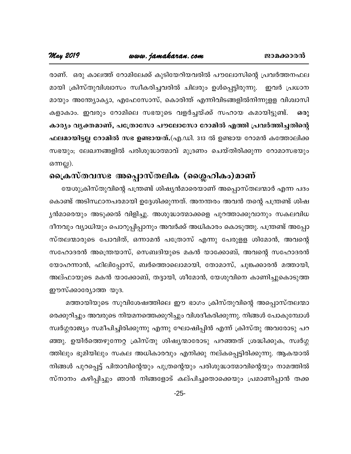രാണ്. ഒരു കാലത്ത് റോമിലേക്ക് കുടിയേറിയവരിൽ പൗലോസിന്റെ പ്രവർത്തനഫല മായി ക്രിസ്തുവിശ്വാസം സ്വീകരിച്ചവരിൽ ചിലരും ഉൾപ്പെട്ടിരുന്നു. ഇവർ പ്രധാന മായും അന്ത്യോക്യാ, എഫേസോസ്, കൊരിന്ത് എന്നിവിടങ്ങളിൽനിന്നുളള വിശ്വാസി കളാകാം. ഇവരും റോമിലെ സഭയുടെ വളർച്ചയ്ക്ക് സഹായ കമായിട്ടുണ്ട്. ഒരു കാര്യം വ്യക്തമാണ്, പത്രോസോ പൗലോസോ റോമിൽ എത്തി പ്രവർത്തിച്ചതിന്റെ ഫലമായിട്ടല്ല റോമിൽ സഭ ഉണ്ടായത്.(എ.ഡി. 313 ൽ ഉണ്ടായ റോമൻ കത്തോലിക്ക സഭയും; ലേഖനങ്ങളിൽ പരിശുദ്ധാത്മാവ് മുദ്രണം ചെയ്തിരിക്കുന്ന റോമാസഭയും ഒന്നല്ല).

### ക്രൈസ്തവസഭ അപ്പൊസ്തലിക (ശ്ലൈഹികം)മാണ്

യേശുക്രിസ്തുവിന്റെ പന്ത്രണ്ട് ശിഷ്യൻമാരെയാണ് അപ്പൊസ്തലന്മാർ എന്ന പദം കൊണ്ട് അടിസ്ഥാനപരമായി ഉദ്ദേശിക്കുന്നത്. അനന്തരം അവൻ തന്റെ പന്ത്രണ്ട് ശിഷ ൃൻമാരെയും അടുക്കൽ വിളിച്ചു. അശുദ്ധാത്മാക്കളെ പുറത്താക്കുവാനും സകലവിധ ദീനവും വ്യാധിയും പൊറുപ്പിപ്പാനും അവർക്ക് അധികാരം കൊടുത്തു. പന്ത്രണ്ട് അപ്പോ സ്തലന്മാരുടെ പോവിത്, ഒന്നാമൻ പത്രോസ് എന്നു പേരുളള ശിമോൻ, അവന്റെ സഹോദരൻ അന്ത്രെയാസ്, സെബദിയുടെ മകൻ യാക്കോബ്, അവന്റെ സഹോദരൻ യോഹന്നാൻ, ഫിലിപ്പോസ്, ബർത്തൊലൊമായി, തോമാസ്, ചുങ്കക്കാരൻ മത്തായി, അല്ഫായുടെ മകൻ യാക്കോബ്, തദ്ദായി, ശീമോൻ, യേശുവിനെ കാണിച്ചുകൊടുത്ത ഈസ്ക്കാര്യോത്ത യൂദ.

മത്തായിയുടെ സുവിശേഷത്തിലെ ഈ ഭാഗം ക്രിസ്തുവിന്റെ അപ്പൊസ്തലന്മാ രെക്കുറിച്ചും അവരുടെ നിയമനത്തെക്കുറിച്ചും വിശദീകരിക്കുന്നു. നിങ്ങൾ പോകുമ്പോൾ സ്വർഗ്ഗരാജ്യം സമീപിച്ചിരിക്കുന്നു എന്നു ഘോഷിപ്പിൻ എന്ന് ക്രിസ്തു അവരോടു പറ ഞ്ഞു. ഉയിർത്തെഴുന്നേറ്റ ക്രിസ്തു ശിഷ്യന്മാരോടു പറഞ്ഞത് ശ്രദ്ധിക്കുക, സ്വർഗ്ഗ ത്തിലും ഭൂമിയിലും സകല അധികാരവും എനിക്കു നല്കപ്പെട്ടിരിക്കുന്നു. ആകയാൽ നിങ്ങൾ പുറപ്പെട്ട് പിതാവിന്റെയും പുത്രന്റെയും പരിശുദ്ധാത്മാവിന്റെയും നാമത്തിൽ സ്നാനം കഴിപ്പിച്ചും ഞാൻ നിങ്ങളോട് കല്പിച്ചതൊക്കെയും പ്രമാണിപ്പാൻ തക്ക

 $-25-$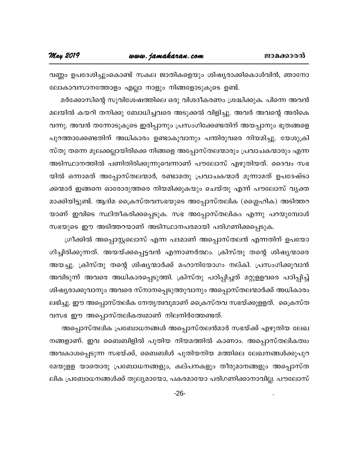**May 2019** 

വണ്ണം ഉപദേശിച്ചുംകൊണ്ട് സകല ജാതികളെയും ശിഷ്യരാക്കികൊൾവിൻ, ഞാനോ ലോകാവസാനത്തോളം എല്ലാ നാളും നിങ്ങളോടുകൂടെ ഉണ്ട്.

മർക്കോസിന്റെ സുവിശേഷത്തിലെ ഒരു വിശദീകരണം ശ്രദ്ധിക്കുക. പിന്നെ അവൻ മലയിൽ കയറി തനിക്കു ബോധിച്ചവരെ അടുക്കൽ വിളിച്ചു. അവർ അവന്റെ അരികെ വന്നു. അവൻ തന്നോടുകൂടെ ഇരിപ്പാനും പ്രസംഗിക്കേണ്ടതിന് അയപ്പാനും ഭൂതങ്ങളെ പുറത്താക്കേണ്ടതിന് അധികാരം ഉണ്ടാകുവാനും പന്തിരുവരെ നിയമിച്ചു. യേശുക്രി സ്തു തന്നെ മൂലക്കല്ലായിരിക്കെ നിങ്ങളെ അപ്പോസ്തലന്മാരും പ്രവാചകന്മാരും എന്ന അടിസ്ഥാനത്തിൽ പണിതിരിക്കുന്നുവെന്നാണ് പൗലോസ് എഴുതിയത്. ദൈവം സഭ യിൽ ഒന്നാമത് അപ്പോസ്തലന്മാർ, രണ്ടാമതു പ്രവാചകന്മാർ മൂന്നാമത് ഉപദേഷ്ടാ ക്കന്മാർ ഇങ്ങനെ ഓരോരുത്തരെ നിയമിക്കുകയും ചെയ്തു എന്ന് പൗലോസ് വൃക്ത മാക്കിയിട്ടുണ്ട്. ആദിമ ക്രൈസ്തവസഭയുടെ അപ്പോസ്തലിക (ശ്ലൈഹിക) അടിത്തറ യാണ് ഇവിടെ സ്ഥിതീകരിക്കപ്പെടുക. സഭ അപ്പോസ്തലികം എന്നു പറയുമ്പോൾ സഭയുടെ ഈ അടിത്തറയാണ് അടിസ്ഥാനപരമായി പരിഗണിക്കപ്പെടുക.

ഗ്രീക്കിൽ അപ്പൊസ്റ്റലൊസ് എന്ന പദമാണ് അപ്പൊസ്തലൻ എന്നതിന് ഉപയോ ഗിച്ചിരിക്കുന്നത്. അയയ്ക്കപ്പെട്ടവൻ എന്നാണർത്ഥം. ക്രിസ്തു തന്റെ ശിഷ്യന്മാരെ അയച്ചു. ക്രിസ്തു തന്റെ ശിഷ്യന്മാർക്ക് മഹാനിയോഗം നല്കി. പ്രസംഗിക്കുവാൻ അവിടുന്ന് അവരെ അധികാരപ്പെടുത്തി. ക്രിസ്തു പഠിപ്പിച്ചത് മറ്റുളളവരെ പഠിപ്പിച്ച് ശിഷ്യരാക്കുവാനും അവരെ സ്നാനപ്പെടുത്തുവാനും അപ്പൊസ്തലന്മാർക്ക് അധികാരം ലഭിച്ചു. ഈ അപ്പൊസ്തലിക നേതൃത്വവുമാണ് ക്രൈസ്തവ സഭയ്ക്കുള്ളത്. ക്രൈസ്ത വസഭ ഈ അപ്പൊസ്തലികത്വമാണ് നിലനിർത്തേണ്ടത്.

അപ്പൊസ്തലിക പ്രബോധനങ്ങൾ അപ്പൊസ്തലൻമാർ സഭയ്ക്ക് എഴുതിയ ലേഖ നങ്ങളാണ്. ഇവ ബൈബിളിൽ പുതിയ നിയമത്തിൽ കാണാം. അപ്പൊസ്തലികത്വം അവകാശപ്പെടുന്ന സഭയ്ക്ക്, ബൈബിൾ പുതിയനിയ മത്തിലെ ലേഖനങ്ങൾക്കുപുറ മേയുളള യാതൊരു പ്രബോധനങ്ങളും, കല്പനകളും തീരുമാനങ്ങളും അപ്പൊസ്ത ലിക പ്രബോധനങ്ങൾക്ക് തുല്യമായോ, പകരമായോ പരിഗണിക്കാനാവില്ല. പൗലോസ്

 $-26-$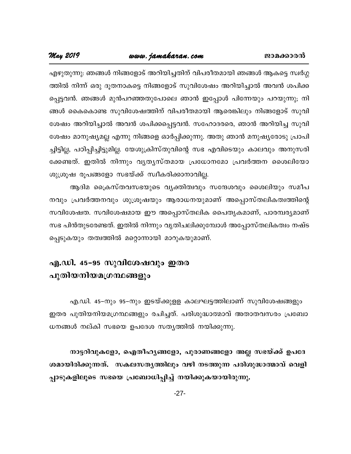### www.jamakaran.com

May 2019

എഴുതുന്നു: ഞങ്ങൾ നിങ്ങളോട് അറിയിച്ചതിന് വിപരീതമായി ഞങ്ങൾ ആകട്ടെ സ്വർഗ്ഗ ത്തിൽ നിന്ന് ഒരു ദൂതനാകട്ടെ നിങ്ങളോട് സുവിശേഷം അറിയിച്ചാൽ അവൻ ശപിക്ക പ്പെട്ടവൻ. ഞങ്ങൾ മുൻപറഞ്ഞതുപോലെ ഞാൻ ഇപ്പോൾ പിന്നേയും പറയുന്നു; നി ങ്ങൾ കൈകൊണ്ട സുവിശേഷത്തിന് വിപരീതമായി ആരെങ്കിലും നിങ്ങളോട് സുവി ശേഷം അറിയിച്ചാൽ അവൻ ശപിക്കപ്പെട്ടവൻ. സഹോദരരെ, ഞാൻ അറിയിച്ച സുവി ശേഷം മാനുഷ്യമല്ല എന്നു നിങ്ങളെ ഓർപ്പിക്കുന്നു. അതു ഞാൻ മനുഷ്യരോടു പ്രാപി ച്ചിട്ടില്ല, പഠിപ്പിച്ചിട്ടുമില്ല. യേശുക്രിസ്തുവിന്റെ സഭ എവിടെയും കാലവും അനുസരി ക്കേണ്ടത്. ഇതിൽ നിന്നും വൃതൃസ്തമായ പ്രധോനമോ പ്രവർത്തന ശൈലിയോ ശുശ്രൂഷ രൂപങ്ങളോ സഭയ്ക്ക് സ്വീകരിക്കാനാവില്ല.

ആദിമ ക്രൈസ്തവസഭയുടെ വ്യക്തിത്വവും സന്ദേശവും ശൈലിയും സമീപ നവും പ്രവർത്തനവും ശുശ്രൂഷയും ആരാധനയുമാണ് അപ്പൊസ്തലികത്വത്തിന്റെ സവിശേഷത. സവിശേഷമായ ഈ അപ്പൊസ്തലിക പൈതൃകമാണ്, പാരമ്പര്യമാണ് സഭ പിൻതുടരേണ്ടത്. ഇതിൽ നിന്നും വൃതിചലിക്കുമ്പോൾ അപ്പോസ്തലികത്വം നഷ്ട പ്പെടുകയും തത്വത്തിൽ മറ്റൊന്നായി മാറുകയുമാണ്.

### എ.ഡി. 45-95 സുവിശേഷവും ഇതര പുതിയനിയമഗ്രന്ഥങ്ങളും

എ.ഡി. 45–നും 95–നും ഇടയ്ക്കുളള കാലഘട്ടത്തിലാണ് സുവിശേഷങ്ങളും ഇതര പുതിയനിയമഗ്രന്ഥങ്ങളും രചിച്ചത്. പരിശുദ്ധാത്മാവ് അതാതവസരം പ്രബോ ധനങ്ങൾ നല്കി സഭയെ ഉപദേശ സത്യത്തിൽ നയിക്കുന്നു.

നാട്ടറിവുകളോ, ഐതീഹൃങ്ങളോ, പുരാണങ്ങളോ അല്ല സഭയ്ക്ക് ഉപദേ ശമായിരിക്കുന്നത്. സകലസതൃത്തിലും വഴി നടത്തുന്ന പരിശുദ്ധാത്മാവ് വെളി പ്പാടുകളിലൂടെ സഭയെ പ്രബോധിപ്പിച്ച് നയിക്കുകയായിരുന്നു.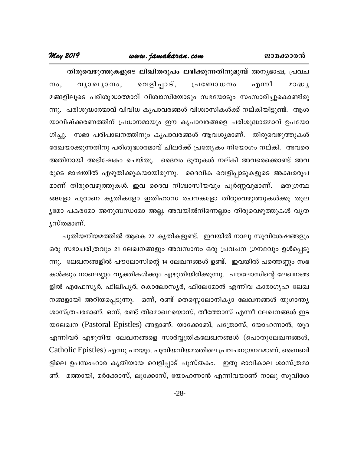### www.jamakaran.com

#### May 2019

തിരുവെഴുത്തുകളുടെ ലിഖിതരൂപം ലഭിക്കുന്നതിനുമുമ്പ് അന്യഭാഷ, പ്രവച വൃാഖൃാനം, വെളിപ്പാട്,  $\mathfrak{O}\circ$ . ്രപഞ്ചോ ധനം എന്നീ  $20B$ മങ്ങളിലൂടെ പരിശുദ്ധാത്മാവ് വിശ്വാസിയോടും സഭയോടും സംസാരിച്ചുകൊണ്ടിരു ന്നു. പരിശുദ്ധാത്മാവ് വിവിധ കൃപാവരങ്ങൾ വിശ്വാസികൾക്ക് നല്കിയിട്ടുണ്ട്. ആശ യാവിഷ്ക്കരണത്തിന് പ്രധാനമായും ഈ കൃപാവരങ്ങളെ പരിശുദ്ധാത്മാവ് ഉപയോ ഗിച്ചു. സഭാ പരിപാലനത്തിനും കൃപാവരങ്ങൾ ആവശ്യമാണ്. തിരുവെഴുത്തുകൾ രേഖയാക്കുന്നതിനു പരിശുദ്ധാത്മാവ് ചിലർക്ക് പ്രത്യേകം നിയോഗം നല്കി. അവരെ അതിനായി അഭിഷേകം ചെയ്തു. ദൈവം ദൂതുകൾ നല്കി അവരെക്കൊണ്ട് അവ രുടെ ഭാഷയിൽ എഴുതിക്കുകയായിരുന്നു. ദൈവിക വെളിപ്പാടുകളുടെ അക്ഷരരൂപ മാണ് തിരുവെഴുത്തുകൾ. ഇവ ദൈവ നിശ്വാസീയവും പൂർണ്ണവുമാണ്. മതഗ്രന്ഥ ങ്ങളോ പുരാണ കൃതികളോ ഇതിഹാസ രചനകളോ തിരുവെഴുത്തുകൾക്കു തുല ൃമോ പകരമോ അനുബന്ധമോ അല്ല. അവയിൽനിന്നെല്ലാം തിരുവെഴുത്തുകൾ വൃത ൃസ്തമാണ്.

പുതിയനിയമത്തിൽ ആകെ 27 കൃതികളുണ്ട്. ഇവയിൽ നാലു സുവിശേഷങ്ങളും ഒരു സഭാചരിത്രവും 21 ലേഖനങ്ങളും അവസാനം ഒരു പ്രവചന ഗ്രന്ഥവും ഉൾപ്പെടു ന്നു. ലേഖനങ്ങളിൽ പൗലോസിന്റെ 14 ലേഖനങ്ങൾ ഉണ്ട്. ഇവയിൽ പത്തെണ്ണം സഭ കൾക്കും നാലെണ്ണം വ്യക്തികൾക്കും എഴുതിയിരിക്കുന്നു. പൗലോസിന്റെ ലേഖനങ്ങ ളിൽ എഫേസ്യർ, ഫിലിപ്യർ, കൊലോസ്യർ, ഫിലേമോൻ എന്നിവ കാരാഗൃഹ ലേഖ നങ്ങളായി അറിയപ്പെടുന്നു. ഒന്ന്, രണ്ട് തെസ്സെലോനിക്യാ ലേഖനങ്ങൾ യുഗാന്ത്യ ശാസ്ത്രപരമാണ്. ഒന്ന്, രണ്ട് തിമൊഥെയൊസ്, തീത്തോസ് എന്നീ ലേഖനങ്ങൾ ഇട യലേഖന (Pastoral Epistles) ങ്ങളാണ്. യാക്കോബ്, പത്രോസ്, യോഹന്നാൻ, യൂദ എന്നിവർ എഴുതിയ ലേഖനങ്ങളെ സാർവ്വത്രികലേഖനങ്ങൾ (പൊതുലേഖനങ്ങൾ, Catholic Epistles) എന്നു പറയും. പുതിയനിയമത്തിലെ പ്രവചനഗ്രന്ഥമാണ്, ബൈബി ളിലെ ഉപസംഹാര കൃതിയായ വെളിപ്പാട് പുസ്തകം. ഇതു ഭാവികാല ശാസ്ത്രമാ ണ്. മത്തായി, മർക്കോസ്, ലൂക്കോസ്, യോഹന്നാൻ എന്നിവയാണ് നാലു സുവിശേ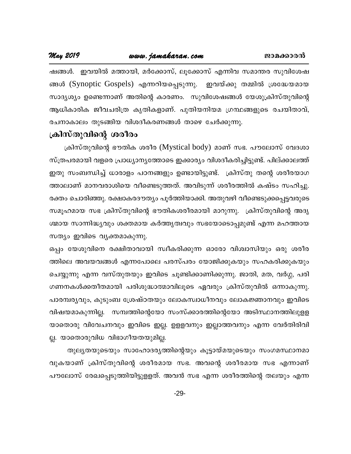#### May 2019 www.jamakaran.com

ഷങ്ങൾ. ഇവയിൽ മത്തായി, മർക്കോസ്, ലൂക്കോസ് എന്നിവ സമാന്തര സുവിശേഷ ങ്ങൾ (Synoptic Gospels) എന്നറിയപ്പെടുന്നു. ഇവയ്ക്കു തമ്മിൽ ശ്രദ്ധേയമായ സാദൃശ്യം ഉണ്ടെന്നാണ് അതിന്റെ കാരണം. സുവിശേഷങ്ങൾ യേശുക്രിസ്തുവിന്റെ ആധികാരിക ജീവചരിത്ര കൃതികളാണ്. പുതിയനിയമ ഗ്രന്ഥങ്ങളുടെ രചയിതാവ്, രചനാകാലം തുടങ്ങിയ വിശദീകരണങ്ങൾ താഴെ ചേർക്കുന്നു.

#### ക്രിസ്തുവിന്റെ ശരീരം

ക്രിസ്തുവിന്റെ ഭൗതിക ശരീര (Mystical body) മാണ് സഭ. പൗലോസ് വേദശാ സ്ത്രപരമായി വളരെ പ്രാധ്യാന്യത്തോടെ ഇക്കാര്യം വിശദീകരിച്ചിട്ടുണ്ട്. പില്ക്കാലത്ത് ഇതു സംബന്ധിച്ച് ധാരാളം പഠനങ്ങളും ഉണ്ടായിട്ടുണ്ട്. ക്രിസ്തു തന്റെ ശരീരയാഗ ത്താലാണ് മാനവരാശിയെ വീണ്ടെടുത്തത്. അവിടുന്ന് ശരീരത്തിൽ കഷ്ടം സഹിച്ചു. രക്തം ചൊരിഞ്ഞു. രക്ഷാകരദൗത്യം പൂർത്തിയാക്കി. അതുവഴി വീണ്ടെടുക്കപ്പെട്ടവരുടെ സമൂഹമായ സഭ ക്രിസ്തുവിന്റെ ഭൗതികശരീരമായി മാറുന്നു. ക്രിസ്തുവിന്റെ അദൃ ശ്മായ സാന്നിദ്ധ്യവും ശക്തമായ കർത്തൃത്വവും സഭയോടൊപ്പമുണ്ട് എന്ന മഹത്തായ സത്യം ഇവിടെ വ്യക്തമാകുന്നു.

ഒപ്പം യേശുവിനെ രക്ഷിതാവായി സ്വീകരിക്കുന്ന ഓരോ വിശ്വാസിയും ഒരു ശരീര ത്തിലെ അവയവങ്ങൾ എന്നപോലെ പരസ്പരം യോജിക്കുകയും സഹകരിക്കുകയും ചെയ്യുന്നു എന്ന വസ്തുതയും ഇവിടെ ചൂണ്ടിക്കാണിക്കുന്നു. ജാതി, മത, വർഗ്ഗ, പരി ഗണനകൾക്കതീതമായി പരിശുദ്ധാത്മാവിലൂടെ ഏവരും ക്രിസ്തുവിൽ ഒന്നാകുന്നു. പാരമ്പര്യവും, കുടുംബ ശ്രേഷ്ഠതയും ലോകസ്വാധീനവും ലോകജ്ഞാനവും ഇവിടെ വിഷയമാകുന്നില്ല. സമ്പത്തിന്റെയോ സംസ്ക്കാരത്തിന്റെയോ അടിസ്ഥാനത്തിലുളള യാതൊരു വിവേചനവും ഇവിടെ ഇല്ല. ഉളളവനും ഇല്ലാത്തവനും എന്ന വേർതിരിവി ല്ല. യാതൊരുവിധ വിഭാഗീയതയുമില്ല.

തുല്യതയുടെയും സാഹോദര്യത്തിന്റെയും കൂട്ടായ്മയുടെയും സംഗമസ്ഥാനമാ വുകയാണ് ക്രിസ്തുവിന്റെ ശരീരമായ സഭ. അവന്റെ ശരീരമായ സഭ എന്നാണ് പൗലോസ് രേഖപ്പെടുത്തിയിട്ടുളളത്. അവൻ സഭ എന്ന ശരീരത്തിന്റെ തലയും എന്ന

 $-29-$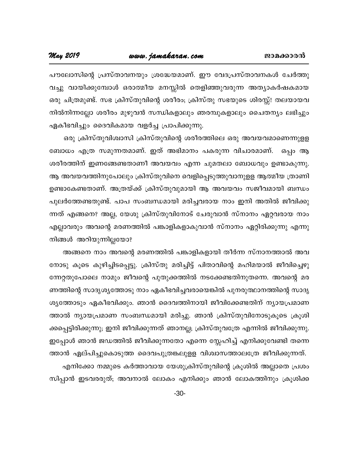പൗലോസിന്റെ പ്രസ്താവനയും ശ്രദ്ധേയമാണ്. ഈ വേദപ്രസ്താവനകൾ ചേർത്തു വച്ചു വായിക്കുമ്പോൾ ഒരാത്മീയ മനസ്സിൽ തെളിഞ്ഞുവരുന്ന അത്യാകർഷകമായ ഒരു ചിത്രമുണ്ട്. സഭ ക്രിസ്തുവിന്റെ ശരീരം; ക്രിസ്തു സഭയുടെ ശിരസ്സ്! തലയായവ നിൽനിന്നല്ലോ ശരീരം മുഴുവൻ സന്ധികളാലും ഞരമ്പുകളാലും ചൈതന്യം ലഭിച്ചും ഏകീഭവിച്ചും ദൈവികമായ വളർച്ച പ്രാപിക്കുന്നു.

ഒരു ക്രിസ്തുവിശ്വാസി ക്രിസ്തുവിന്റെ ശരീരത്തിലെ ഒരു അവയവമാണെന്നുളള ബോധം എത്ര സമുന്നതമാണ്. ഇത് അഭിമാനം പകരുന്ന വിചാരമാണ്. ഒപ്പം ആ ശരീരത്തിന് ഇണങ്ങേണ്ടതാണീ അവയവം എന്ന ചുമതലാ ബോധവും ഉണ്ടാകുന്നു. ആ അവയവത്തിനുപോലും ക്രിസ്തുവിനെ വെളിപ്പെടുത്തുവാനുളള ആത്മീയ ത്രാണി ഉണ്ടാകേണ്ടതാണ്. അത്രയ്ക്ക് ക്രിസ്തുവുമായി ആ അവയവം സജീവമായി ബന്ധം പുലർത്തേണ്ടതുണ്ട്. പാപ സംബന്ധമായി മരിച്ചവരായ നാം ഇനി അതിൽ ജീവിക്കു ന്നത് എങ്ങനെ? അല്ല, യേശു ക്രിസ്തുവിനോട് ചേരുവാൻ സ്നാനം ഏറ്റവരായ നാം എല്ലാവരും അവന്റെ മരണത്തിൽ പങ്കാളികളാകുവാൻ സ്നാനം ഏറ്റിരിക്കുന്നു എന്നു നിങ്ങൾ അറിയുന്നില്ലയോ?

അങ്ങനെ നാം അവന്റെ മരണത്തിൽ പങ്കാളികളായി തീർന്ന സ്നാനത്താൽ അവ നോടു കൂടെ കുഴിച്ചിടപ്പെട്ടു. ക്രിസ്തു മരിച്ചിട്ട് പിതാവിന്റെ മഹിമയാൽ ജീവിച്ചെഴു ന്നേറ്റതുപോലെ നാമും ജീവന്റെ പുതുക്കത്തിൽ നടക്കേണ്ടതിനുതന്നെ. അവന്റെ മര ണത്തിന്റെ സാദൃശൃത്തോടു നാം ഏകീഭവിച്ചവരായെങ്കിൽ പുനരുത്ഥാനത്തിന്റെ സാദൃ ശ്യത്തോടും ഏകീഭവിക്കും. ഞാൻ ദൈവത്തിനായി ജീവിക്കേണ്ടതിന് ന്യായപ്രമാണ ത്താൽ ന്യായപ്രമാണ സംബന്ധമായി മരിച്ചു. ഞാൻ ക്രിസ്തുവിനോടുകൂടെ ക്രൂശി ക്കപ്പെട്ടിരിക്കുന്നു; ഇനി ജീവിക്കുന്നത് ഞാനല്ല; ക്രിസ്തുവത്രേ എന്നിൽ ജീവിക്കുന്നു. ഇപ്പോൾ ഞാൻ ജഡത്തിൽ ജീവിക്കുന്നതോ എന്നെ സ്നേഹിച്ച് എനിക്കുവേണ്ടി തന്നെ

ത്താൻ ഏല്പിച്ചുകൊടുത്ത ദൈവപുത്രങ്കലുളള വിശ്വാസത്താലത്രേ ജീവിക്കുന്നത്. എനിക്കോ നമ്മുടെ കർത്താവായ യേശുക്രിസ്തുവിന്റെ ക്രൂശിൽ അല്ലാതെ പ്രശം സിപ്പാൻ ഇടവരരുത്; അവനാൽ ലോകം എനിക്കും ഞാൻ ലോകത്തിനും ക്രൂശിക്ക

 $-30-$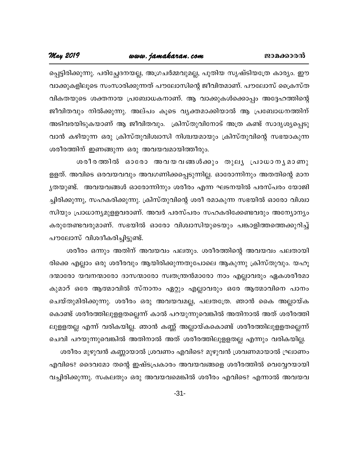#### www.jamakaran.com

May 2019

പ്പെട്ടിരിക്കുന്നു. പരിച്ഛേദനയല്ല, അഗ്രചർമ്മവുമല്ല, പുതിയ സൃഷ്ടിയത്രേ കാര്യം. ഈ വാക്കുകളിലൂടെ സംസാരിക്കുന്നത് പൗലോസിന്റെ ജീവിതമാണ്. പൗലോസ് ക്രൈസ്ത വികതയുടെ ശക്തനായ പ്രബോധകനാണ്. ആ വാക്കുകൾക്കൊപ്പം അദ്ദേഹത്തിന്റെ ജീവിതവും നിൽക്കുന്നു. അല്പം കൂടെ വൃക്തമാക്കിയാൽ ആ പ്രബോധനത്തിന് അടിവരയിടുകയാണ് ആ ജീവിതവും. ക്രിസ്തുവിനോട് അത്ര കണ്ട് സാദൃശ്യപ്പെടു വാൻ കഴിയുന്ന ഒരു ക്രിസ്തുവിശ്വാസി നിശ്ചയമായും ക്രിസ്തുവിന്റെ സഭയാകുന്ന ശരീരത്തിന് ഇണങ്ങുന്ന ഒരു അവയവമായിത്തീരും.

ശരീരത്തിൽ ഓരോ അവയവങ്ങൾക്കും തുലൃ പ്രാധാനൃമാണു ളളത്. അവിടെ ഒരവയവവും അവഗണിക്കപ്പെടുന്നില്ല. ഓരോന്നിനും അതതിന്റെ മാന ൃതയുണ്ട്. അവയവങ്ങൾ ഓരോന്നിനും ശരീരം എന്ന ഘടനയിൽ പരസ്പരം യോജി ച്ചിരിക്കുന്നു, സഹകരിക്കുന്നു. ക്രിസ്തുവിന്റെ ശരീ രമാകുന്ന സഭയിൽ ഓരോ വിശ്വാ സിയും പ്രാധാന്യമുളളവരാണ്. അവർ പരസ്പരം സഹകരിക്കേണ്ടവരും അന്യോന്യം കരുതേണ്ടവരുമാണ്. സഭയിൽ ഓരോ വിശ്വാസിയുടെയും പങ്കാളിത്തത്തെക്കുറിച്ച് പൗലോസ് വിശദീകരിച്ചിട്ടുണ്ട്.

ശരീരം ഒന്നും അതിന് അവയവം പലതും. ശരീരത്തിന്റെ അവയവം പലതായി രിക്കെ എല്ലാം ഒരു ശരീരവും ആയിരിക്കുന്നതുപോലെ ആകുന്നു ക്രിസ്തുവും. യഹൂ ദന്മാരോ യവനന്മാരോ ദാസന്മാരോ സ്വതന്ത്രൻമാരോ നാം എല്ലാവരും ഏകശരീരമാ കുമാറ് ഒരേ ആത്മാവിൽ സ്നാനം ഏറ്റും എല്ലാവരും ഒരേ ആത്മാവിനെ പാനം ചെയ്തുമിരിക്കുന്നു. ശരീരം ഒരു അവയവമല്ല, പലതത്രേ. ഞാൻ കൈ അല്ലായ്ക കൊണ്ട് ശരീരത്തിലുളളതല്ലെന്ന് കാൽ പറയുന്നുവെങ്കിൽ അതിനാൽ അത് ശരീരത്തി ലുളളതല്ല എന്ന് വരികയില്ല. ഞാൻ കണ്ണ് അല്ലായ്കകൊണ്ട് ശരീരത്തിലുളളതല്ലെന്ന്

ചെവി പറയുന്നുവെങ്കിൽ അതിനാൽ അത് ശരീരത്തിലുളളതല്ല എന്നും വരികയില്ല. ശരീരം മുഴുവൻ കണ്ണായാൽ ശ്രവണം എവിടെ? മുഴുവൻ ശ്രവണമായാൽ ഘ്രാണം എവിടെ? ദൈവമോ തന്റെ ഇഷ്ടപ്രകാരം അവയവങ്ങളെ ശരീരത്തിൽ വെവ്വേറയായി വച്ചിരിക്കുന്നു. സകലതും ഒരു അവയവമെങ്കിൽ ശരീരം എവിടെ? എന്നാൽ അവയവ

 $-31-$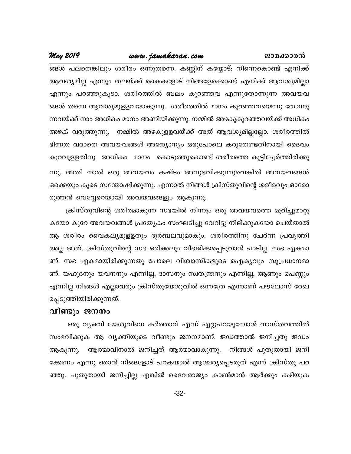### www.jamakaran.com

#### May 2019

ങ്ങൾ പലതെങ്കിലും ശരീരം ഒന്നുതന്നെ. കണ്ണിന് കയ്യോട്: നിന്നെകൊണ്ട് എനിക്ക് ആവശ്യമില്ല എന്നും തലയ്ക്ക് കൈകളോട് നിങ്ങളേക്കൊണ്ട് എനിക്ക് ആവശ്യമില്ലാ എന്നും പറഞ്ഞുകൂടാ. ശരീരത്തിൽ ബലം കുറഞ്ഞവ എന്നുതോന്നുന്ന അവയവ ങ്ങൾ തന്നെ ആവശ്യമുളളവയാകുന്നു. ശരീരത്തിൽ മാനം കുറഞ്ഞവയെന്നു തോന്നു ന്നവയ്ക്ക് നാം അധികം മാനം അണിയിക്കുന്നു. നമ്മിൽ അഴകുകുറഞ്ഞവയ്ക്ക് അധികം അഴക് വരുത്തുന്നു. നമ്മിൽ അഴകുളളവയ്ക്ക് അത് ആവശ്യമില്ലല്ലോ. ശരീരത്തിൽ ഭിന്നത വരാതെ അവയവങ്ങൾ അന്യോന്യം ഒരുപോലെ കരുതേണ്ടതിനായി ദൈവം കുറവുളളതിനു അധികം മാനം കൊടുത്തുകൊണ്ട് ശരീരത്തെ കൂട്ടിച്ചേർത്തിരിക്കു ന്നു. അതി നാൽ ഒരു അവയവം കഷ്ടം അനുഭവിക്കുന്നുവെങ്കിൽ അവയവങ്ങൾ ഒക്കെയും കൂടെ സന്തോഷിക്കുന്നു. എന്നാൽ നിങ്ങൾ ക്രിസ്തുവിന്റെ ശരീരവും ഓരോ രുത്തൻ വെവ്വേറെയായി അവയവങ്ങളും ആകുന്നു.

ക്രിസ്തുവിന്റെ ശരീരമാകുന്ന സഭയിൽ നിന്നും ഒരു അവയവത്തെ മുറിച്ചുമാറ്റു കയോ കുറേ അവയവങ്ങൾ പ്രത്യേകം സംഘടിച്ചു വേറിട്ടു നില്ക്കുകയോ ചെയ്താൽ ആ ശരീരം വൈകല്യമുളളതും ദുർബലവുമാകും. ശരീരത്തിനു ചേർന്ന പ്രവൃത്തി അല്ല അത്. ക്രിസ്തുവിന്റെ സഭ ഒരിക്കലും വിഭജിക്കപ്പെടുവാൻ പാടില്ല. സഭ ഏകമാ ണ്. സഭ ഏകമായിരിക്കുന്നതു പോലെ വിശ്വാസികളുടെ ഐകൃവും സുപ്രധാനമാ ണ്. യഹൂദനും യവനനും എന്നില്ല, ദാസനും സ്വതന്ത്രനും എന്നില്ല, ആണും പെണ്ണും എന്നില്ല നിങ്ങൾ എല്ലാവരും ക്രിസ്തുയേശുവിൽ ഒന്നത്രേ എന്നാണ് പൗലോസ് രേഖ പ്പെടുത്തിയിരിക്കുന്നത്.

#### വീണ്ടും ജനനം

ഒരു വൃക്തി യേശുവിനെ കർത്താവ് എന്ന് ഏറ്റുപറയുമ്പോൾ വാസ്തവത്തിൽ സംഭവിക്കുക ആ വൃക്തിയുടെ വീണ്ടും ജനനമാണ്. ജഡത്താൽ ജനിച്ചതു ജഡം ആകുന്നു. ആത്മാവിനാൽ ജനിച്ചത് ആത്മാവാകുന്നു. നിങ്ങൾ പുതുതായി ജനി ക്കേണം എന്നു ഞാൻ നിങ്ങളോട് പറകയാൽ ആശ്ചര്യപ്പെടരുത് എന്ന് ക്രിസ്തു പറ ഞ്ഞു. പുതുതായി ജനിച്ചില്ല എങ്കിൽ ദൈവരാജ്യം കാൺമാൻ ആർക്കും കഴിയുക

 $-32-$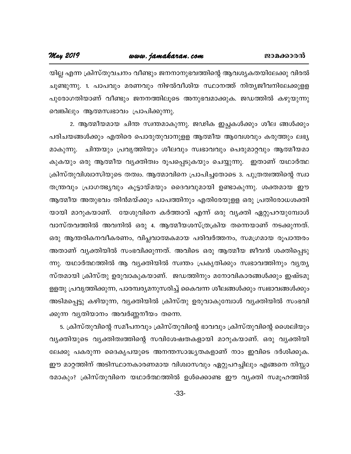#### May 2019

യില്ല എന്ന ക്രിസ്തുവചനം വീണ്ടും ജനനാനുഭവത്തിന്റെ ആവശ്യകതയിലേക്കു വിരൽ ചൂണ്ടുന്നു. 1. പാപവും മരണവും നിഴൽവീശിയ സ്ഥാനത്ത് നിത്യജീവനിലേക്കുളള പുരോഗതിയാണ് വീണ്ടും ജനനത്തിലൂടെ അനുഭവമാക്കുക. ജഡത്തിൽ കഴുയുന്നു വെങ്കിലും ആത്മസ്വഭാവം പ്രാപിക്കുന്നു.

2. ആത്മീയമായ ചിന്ത സ്വന്തമാകുന്നു. ജഢിക ഇച്ഛകൾക്കും ശീല ങ്ങൾക്കും പരിചയങ്ങൾക്കും എതിരെ പൊരുതുവാനുളള ആത്മീയ ആവേശവും കരുത്തും ലഭ്യ മാകുന്നു. ചിന്തയും പ്രവൃത്തിയും ശീലവും സ്വഭാവവും പെരുമാറ്റവും ആത്മീയമാ കുകയും ഒരു ആത്മീയ വ്യക്തിത്വം രൂപപ്പെടുകയും ചെയ്യുന്നു. ഇതാണ് യഥാർത്ഥ ക്രിസ്തുവിശ്വാസിയുടെ തത്വം. ആത്മാവിനെ പ്രാപിച്ചതോടെ 3. പുത്രത്വത്തിന്റെ സ്വാ തന്ത്രവും പ്രാഗത്ഭ്യവും കൂട്ടായ്മയും ദൈവവുമായി ഉണ്ടാകുന്നു. ശക്തമായ ഈ ആത്മീയ അതുഭവം തിൻമയ്ക്കും പാപത്തിനും എതിരേയുളള ഒരു പ്രതിരോധശക്തി യായി മാറുകയാണ്. യേശുവിനെ കർത്താവ് എന്ന് ഒരു വ്യക്തി ഏറ്റുപറയുമ്പോൾ വാസ്തവത്തിൽ അവനിൽ ഒരു 4. ആത്മീയശസ്ത്രക്രിയ തന്നെയാണ് നടക്കുന്നത്. ഒരു ആന്തരികനവീകരണം, വിപ്ലവാത്മകമായ പരിവർത്തനം, സമഗ്രമായ രൂപാന്തരം അതാണ് വ്യക്തിയിൽ സംഭവിക്കുന്നത്. അവിടെ ഒരു ആത്മീയ ജീവൻ ശക്തിപ്പെടു ന്നു. യഥാർത്ഥത്തിൽ ആ വ്യക്തിയിൽ സ്വന്തം പ്രകൃതിക്കും സ്വഭാവത്തിനും വ്യത്യ സ്തമായി ക്രിസ്തു ഉരുവാകുകയാണ്. ജഡത്തിനും മനോവികാരങ്ങൾക്കും ഇഷ്ടമു ള്ളതു പ്രവൃത്തിക്കുന്ന, പാരമ്പര്യമനുസരിച്ച് കൈവന്ന ശീലങ്ങൾക്കും സ്വഭാവങ്ങൾക്കും അടിമപ്പെട്ടു കഴിയുന്ന, വ്യക്തിയിൽ ക്രിസ്തു ഉരുവാകുമ്പോൾ വ്യക്തിയിൽ സംഭവി ക്കുന്ന വൃതിയാനം അവർണ്ണനീയം തന്നെ.

5. ക്രിസ്തുവിന്റെ സമീപനവും ക്രിസ്തുവിന്റെ ഭാവവും ക്രിസ്തുവിന്റെ ശൈലിയും വൃക്തിയുടെ വൃക്തിത്വത്തിന്റെ സവിശേഷതകളായി മാറുകയാണ്. ഒരു വൃക്തിയി ലേക്കു പകരുന്ന ദൈകൃപയുടെ അനന്തസാദ്ധ്യതകളാണ് നാം ഇവിടെ ദർശിക്കുക. ഈ മാറ്റത്തിന് അടിസ്ഥാനകാരണമായ വിശ്വാസവും ഏറ്റുപറച്ചിലും എങ്ങനെ നിസ്സാ രമാകും? ക്രിസ്തുവിനെ യഥാർത്ഥത്തിൽ ഉൾക്കൊണ്ട ഈ വ്യക്തി സമൂഹത്തിൽ

 $-33-$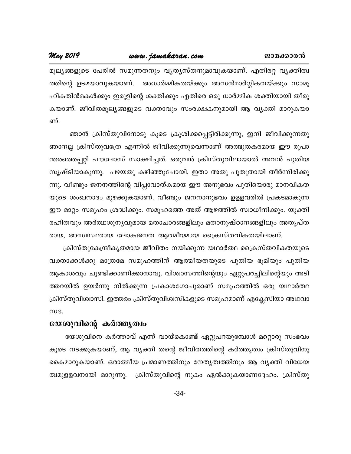### www.jamakaran.com

May 2019

മൂല്യങ്ങളുടെ പേരിൽ സമുന്നതനും വ്യത്യസ്തനുമാവുകയാണ്. എതിരറ്റ വ്യക്തിത്വ ത്തിന്റെ ഉടമയാവുകയാണ്. അധാർമ്മികതയ്ക്കും അസൻമാർഗ്ഗികതയ്ക്കും സാമൂ ഹികതിൻമകൾക്കും ഇരുളിന്റെ ശക്തിക്കും എതിരെ ഒരു ധാർമ്മിക ശക്തിയായി തീരു കയാണ്. ജീവിതമൂല്യങ്ങളുടെ വക്താവും സംരക്ഷകനുമായി ആ വ്യക്തി മാറുകയാ ണ്.

ഞാൻ ക്രിസ്തുവിനോടു കൂടെ ക്രൂശിക്കപ്പെട്ടിരിക്കുന്നു, ഇനി ജീവിക്കുന്നതു ഞാനല്ല ക്രിസ്തുവത്രേ എന്നിൽ ജീവിക്കുന്നുവെന്നാണ് അത്ഭുതകരമായ ഈ രൂപാ ന്തരത്തെപ്പറ്റി പൗലോസ് സാക്ഷിച്ചത്. ഒരുവൻ ക്രിസ്തുവിലായാൽ അവൻ പുതിയ സൃഷ്ടിയാകുന്നു. പഴയതു കഴിഞ്ഞുപോയി, ഇതാ അതു പുതുതായി തീർന്നിരിക്കു ന്നു. വീണ്ടും ജനനത്തിന്റെ വിപ്ലാവാത്കമായ ഈ അനുഭവം പുതിയൊരു മാനവികത യുടെ ശംഖനാദം മുഴക്കുകയാണ്. വീണ്ടും ജനനാനുഭവം ഉളളവരിൽ പ്രകടമാകുന്ന ഈ മാറ്റം സമൂഹം ശ്രദ്ധിക്കും. സമൂഹത്തെ അത് ആഴത്തിൽ സ്വാധീനിക്കും. യുക്തി രഹിതവും അർത്ഥശൂനൃവുമായ മതാചാരങ്ങളിലും മതാനുഷ്ഠാനങ്ങളിലും അതൃപ്ത രായ, അസ്വസ്ഥരായ ലോകജനത ആത്മീയമായ ക്രൈസ്തവികതയിലാണ്.

ക്രിസ്തുകേന്ദ്രീകൃതമായ ജീവിതം നയിക്കുന്ന യഥാർത്ഥ ക്രൈസ്തവികതയുടെ വക്താക്കൾക്കു മാത്രമേ സമൂഹത്തിന് ആത്മീയതയുടെ പുതിയ ഭൂമിയും പുതിയ ആകാശവും ചൂണ്ടിക്കാണിക്കാനാവൂ. വിശ്വാസത്തിന്റെയും ഏറ്റുപറച്ചിലിന്റെയും അടി ത്തറയിൽ ഉയർന്നു നിൽക്കുന്ന പ്രകാശഗോപുരാണ് സമൂഹത്തിൽ ഒരു യഥാർത്ഥ ക്രിസ്തുവിശ്വാസി. ഇത്തരം ക്രിസ്തുവിശ്വസികളുടെ സമൂഹമാണ് എക്ലേസിയാ അഥവാ WB.

#### യേശുവിന്റെ കർത്തൃത്വം

യേശുവിനെ കർത്താവ് എന്ന് വായ്കൊണ്ട് ഏറ്റുപറയുമ്പോൾ മറ്റൊരു സംഭവം കൂടെ നടക്കുകയാണ്, ആ വ്യക്തി തന്റെ ജീവിതത്തിന്റെ കർത്തൃത്വം ക്രിസ്തുവിനു കൈമാറുകയാണ്. ഒരാത്മീയ പ്രമാണത്തിനും നേതൃത്വത്തിനും ആ വൃക്തി വിധേയ ത്വമുളളവനായി മാറുന്നു. ക്രിസ്തുവിന്റെ നുകം ഏൽക്കുകയാണദ്ദേഹം. ക്രിസ്തു

 $-34-$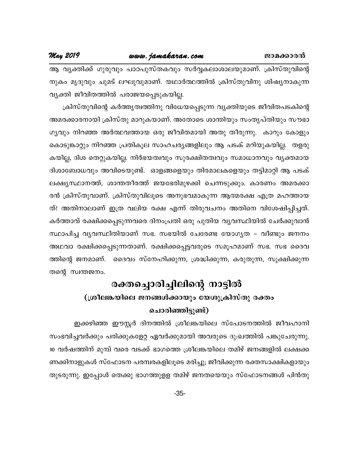May 2019

ആ വൃക്തിക്ക് ഗുരുവും പാഠപുസ്തകവും സർവ്വകലാശാലയുമാണ്. ക്രിസ്തുവിന്റെ നുകം മൃദുവും ചുമട് ലഘുവുമാണ്. യഥാർത്ഥത്തിൽ ക്രിസ്തുവിനു ശിഷ്യനാകുന്ന വ്യക്തി ജീവിതത്തിൽ പരാജയപ്പെടുകയില്ല.

ക്രിസ്തുവിന്റെ കർത്തൃത്വത്തിനു വിധേയപ്പെടുന്ന വ്യക്തിയുടെ ജീവിതപടകിന്റെ അമരക്കാരനായി ക്രിസ്തു മാറുകയാണ്. അതോടെ ശാന്തിയും സംതൃപ്തിയും സൗഭാ ഗൃവും നിറഞ്ഞ അർത്ഥവത്തായ ഒരു ജീവിതമായി അതു തീരുന്നു. കാറും കോളും കൊടുങ്കാറ്റും നിറഞ്ഞ പ്രതികൂല സാഹചര്യങ്ങളിലും ആ പടക് മറിയുകയില്ല. തളരു കയില്ല, ദിശ തെറ്റുകയില്ല. നിർഭയത്വവും സുരക്ഷിതത്വവും സമാധാനവും വ്യക്തമായ ദിശാബോധവും അവിടെയുണ്ട്. ഓളങ്ങളെയും തിരമാലകളെയും തട്ടിമാറ്റി ആ പടക് ലക്ഷ്യസ്ഥാനത്ത്, ശാന്തതീരത്ത് ജയഭേരിമുഴക്കി ചെന്നടുക്കും. കാരണം അമരക്കാ രൻ ക്രിസ്തുവാണ്. ക്രിസ്തുവിലൂടെ അനുഭവമാകുന്ന ആത്മരക്ഷ എത്ര മഹത്തായ ത്! അതിനാലാണ് ഇത്ര വലിയ രക്ഷ എന്ന് തിരുവചനം അതിനെ വിശേഷിപ്പിച്ചത്. കർത്താവ് രക്ഷിക്കപ്പെടുന്നവരെ ദിനംപ്രതി ഒരു പുതിയ വ്യവസ്ഥിയിൽ ചേർക്കുവാൻ സ്ഥാപിച്ച വ്യവസ്ഥിതിയാണ് സഭ. സഭയിൽ ചേരേണ്ട യോഗ്യത – വീണ്ടും ജനനം അഥവാ രക്ഷിക്കപ്പെടുന്നതാണ്. രക്ഷിക്കപ്പെട്ടവരുടെ സമൂഹമാണ് സഭ. സഭ ദൈവ ത്തിന്റെ ജനമാണ്. ദൈവം സ്നേഹിക്കുന്ന, ശ്രദ്ധിക്കുന്ന, കരുതുന്ന, സൂക്ഷിക്കുന്ന തന്റെ സ്വന്തജനം.

### രക്തച്ചൊരിച്ചിലിന്റെ നാട്ടിൽ (ശ്രീലങ്കയിലെ ജനങ്ങൾക്കായും യേശുക്രിസ്തു രക്തം

#### ചൊരിഞ്ഞിട്ടുണ്ട്)

ഇക്കഴിഞ്ഞ ഈസ്റ്റർ ദിനത്തിൽ ശ്രീലങ്കയിലെ സ്പോടനത്തിൽ ജീവഹാനി സംഭവിച്ചവർക്കും പരിക്കുകളേറ്റ ഏവർക്കുമായി അവരുടെ ദു:ഖത്തിൽ പങ്കുചേരുന്നു. 10 വർഷത്തിന് മുമ്പ് വരെ വടക്ക് ഭാഗത്തെ ശ്രീലങ്കയിലെ തമിഴ് ജനങ്ങളിൽ ലക്ഷക്ക ണക്കിനാളുകൾ സ്ഫോടന പരമ്പരകളിലൂടെ മരിച്ചു; ജീവിക്കുന്ന രക്തസാക്ഷികളായും തുടരുന്നു. ഇപ്പോൾ തെക്കു ഭാഗത്തുളള തമിഴ് ജനതയെയും സ്ഫോടനങ്ങൾ പിൻതു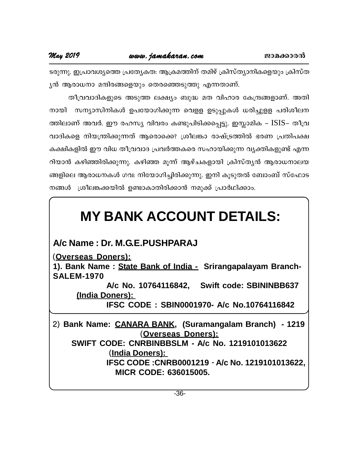#### May 2019

ടരുന്നു. ഇപ്രാവശ്യത്തെ പ്രത്യേകത: ആക്രമത്തിന് തമിഴ് ക്രിസ്ത്യാനികളെയും ക്രിസ്ത ൃൻ ആരാധനാ മന്ദിരങ്ങളെയും തെരഞ്ഞെടുത്തു എന്നതാണ്.

തീവ്രവാദികളുടെ അടുത്ത ലക്ഷ്യം ബുദ്ധ മത വിഹാര കേന്ദ്രങ്ങളാണ്. അതി നായി സന്യാസിനികൾ ഉപയോഗിക്കുന്ന വെള്ള ഉടുപ്പുകൾ ധരിച്ചുള്ള പരിശീലന ത്തിലാണ് അവർ. ഈ രഹസ്യ വിവരം കണ്ടുപിടിക്കപ്പെട്ടു. ഇസ്ലാമിക – ISIS– തീവ്ര വാദികളെ നിയന്ത്രിക്കുന്നത് ആരൊക്കെ? ശ്രീലങ്കാ രാഷ്ട്രത്തിൽ ഭരണ പ്രതിപക്ഷ കക്ഷികളിൽ ഈ വിധ തീവ്രവാദ പ്രവർത്തകരെ സഹായിക്കുന്ന വ്യക്തികളുണ്ട് എന്ന റിയാൻ കഴിഞ്ഞിരിക്കുന്നു. കഴിഞ്ഞ മുന്ന് ആഴ്ചകളായി ക്രിസ്തൃൻ ആരാധനാലയ ങ്ങളിലെ ആരാധനകൾ ഗവ: നിയോഗിച്ചിരിക്കുന്നു. ഇനി കുടുതൽ ബോംബ് സ്ഫോട നങ്ങൾ ശ്രീലങ്കക്കയിൽ ഉണ്ടാകാതിരിക്കാൻ നമുക്ക് പ്രാർഥിക്കാം.

## **MY BANK ACCOUNT DETAILS:**

A/c Name: Dr. M.G.E.PUSHPARAJ

(Overseas Doners):

1). Bank Name: State Bank of India - Srirangapalayam Branch-**SALEM-1970** 

A/c No. 10764116842, Swift code: SBININBB637 (India Doners):

IFSC CODE: SBIN0001970- A/c No.10764116842

2) Bank Name: CANARA BANK, (Suramangalam Branch) - 1219 (Overseas Doners): **SWIFT CODE: CNRBINBBSLM - A/c No. 1219101013622** <u>(India Doners):</u> IFSC CODE: CNRB0001219 - A/c No. 1219101013622,

**MICR CODE: 636015005.**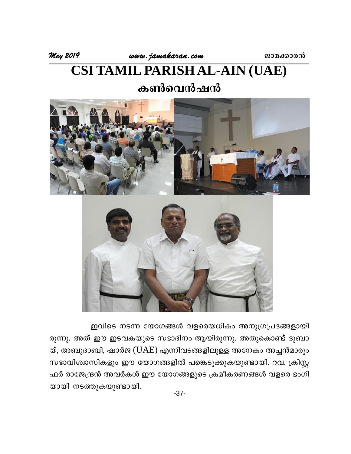May 2019

# **CSI TAMIL PARISH AL-AIN (UAE)**

### കൺവെൻഷൻ



ഇവിടെ നടന്ന യോഗങ്ങൾ വളരെയധികം അനുഗ്രപ്രദങ്ങളായി രുന്നു. അത് ഈ ഇടവകയുടെ സഭാദിനം ആയിരുന്നു. അതുകൊണ്ട് ദുബാ യ്, അബുദാബി, ഷാർജ (UAE) എന്നിവടങ്ങളിലുള്ള അനേകം അച്ചൻമാരും സഭാവിശ്വാസികളും ഈ യോഗങ്ങളിൽ പങ്കെടുക്കുകയുണ്ടായി. റവ. ക്രിസ്റ്റ ഫർ രാജേന്ദ്രൻ അവർകൾ ഈ യോഗങ്ങളുടെ ക്രമീകരണങ്ങൾ വളരെ ഭംഗി യായി നടത്തുകയുണ്ടായി.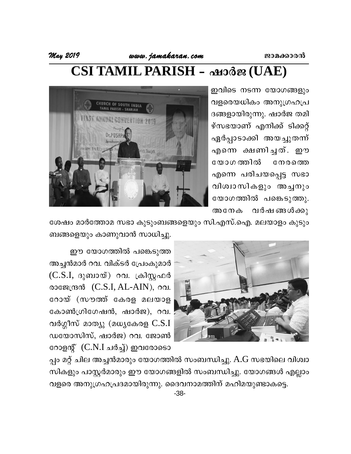## CSI TAMIL PARISH - ഷാർജ (UAE)

ഇവിടെ നടന്ന യോഗങ്ങളും വളരെയധികം അനുഗ്രഹപ്ര ദങ്ങളായിരുന്നു. ഷാർജ തമി ഴ്സഭയാണ് എനിക്ക് ടിക്കറ്റ് ഏർപ്പാടാക്കി അയച്ചുതന്ന് എന്നെ ക്ഷണിച്ചത്. ഈ യോഗ ത്തിൽ നേരത്തെ എന്നെ പരിചയപ്പെട്ട സഭാ വിശ്വാസികളും അച്ചനും യോഗത്തിൽ പങ്കെടുത്തു. വർഷ ങ്ങൾക്കു അനേക



ശേഷം മാർത്തോമ സഭാ കുടുംബങ്ങളെയും സി.എസ്.ഐ. മലയാളം കുടും ബങ്ങളെയും കാണുവാൻ സാധിച്ചു.



ഈ യോഗത്തിൽ പങ്കെടുത്ത അച്ചൻമാർ റവ. വിക്ടർ പ്രേംകുമാർ  $(C.S.I,$  ദുബായ്) റവ. ക്രിസ്റ്റഫർ രാജേന്ദ്രൻ  $(C.S.I, AL-AIN)$ , റവ. റോയ് (സൗത്ത് കേരള മലയാള കോൺഗ്രിഗേഷൻ, ഷാർജ), റവ. വർഗ്ഗീസ് മാത്യു (മധ്യകേരള  $C.S.I$ ഡയോസിസ്, ഷാർജ) റവ. ജോൺ റോളന്റ് (C.N.I ചർച്ച്) ഇവരോടൊ

പ്പം മറ്റ് ചില അച്ചൻമാരും യോഗത്തിൽ സംബന്ധിച്ചു. A.G സഭയിലെ വിശ്വാ സികളും പാസ്റ്റർമാരും ഈ യോഗങ്ങളിൽ സംബന്ധിച്ചു. യോഗങ്ങൾ എല്ലാം വളരെ അനുഗ്രഹപ്രദമായിരുന്നു. ദൈവനാമത്തിന് മഹിമയുണ്ടാകട്ടെ.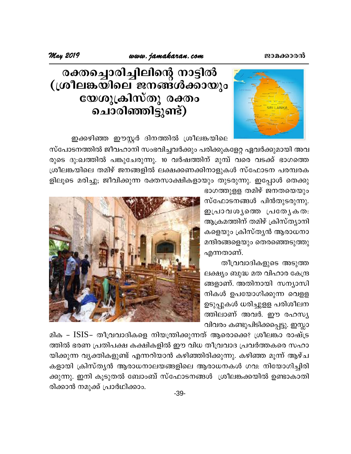

## രക്തച്ചൊരിച്ചിലിന്റെ നാട്ടിൽ (ശ്രീലങ്കയിലെ ജനങ്ങൾക്കായും യേശുക്രിസ്തു രക്തം ചൊരിഞ്ഞിട്ടുണ്ട്)

ഇക്കഴിഞ്ഞ ഈസ്റ്റർ ദിനത്തിൽ ശ്രീലങ്കയിലെ

സ്പോടനത്തിൽ ജീവഹാനി സംഭവിച്ചവർക്കും പരിക്കുകളേറ്റ ഏവർക്കുമായി അവ രുടെ ദു:ഖത്തിൽ പങ്കുചേരുന്നു. 10 വർഷത്തിന് മുമ്പ് വരെ വടക്ക് ഭാഗത്തെ ശ്രീലങ്കയിലെ തമിഴ് ജനങ്ങളിൽ ലക്ഷക്കണക്കിനാളുകൾ സ്ഫോടന പരമ്പരക ളിലൂടെ മരിച്ചു; ജീവിക്കുന്ന രക്തസാക്ഷികളായും തുടരുന്നു. ഇപ്പോൾ തെക്കു

> ഭാഗത്തുളള തമിഴ് ജനതയെയും സ്ഫോടനങ്ങൾ പിൻതുടരുന്നു. ഇപ്രാവശൃത്തെ പ്രത്യേകത: ആക്രമത്തിന് തമിഴ് ക്രിസ്ത്യാനി കളെയും ക്രിസ്തൃൻ ആരാധനാ മന്ദിരങ്ങളെയും തെരഞ്ഞെടുത്തു എന്നതാണ്.

> തീവ്രവാദികളുടെ അടുത്ത ലക്ഷ്യം ബുദ്ധ മത വിഹാര കേന്ദ്ര ങ്ങളാണ്. അതിനായി സന്യാസി നികൾ ഉപയോഗിക്കുന്ന വെളള ഉടുപ്പുകൾ ധരിച്ചുളള പരിശീലന ത്തിലാണ് അവർ. ഈ രഹസ്യ വിവരം കണ്ടുപിടിക്കപ്പെട്ടു. ഇസ്ലാ



മിക – ISIS- തീവ്രവാദികളെ നിയന്ത്രിക്കുന്നത് ആരൊക്കെ? ശ്രീലങ്കാ രാഷ്ട്ര ത്തിൽ ഭരണ പ്രതിപക്ഷ കക്ഷികളിൽ ഈ വിധ തീവ്രവാദ പ്രവർത്തകരെ സഹാ യിക്കുന്ന വ്യക്തികളുണ്ട് എന്നറിയാൻ കഴിഞ്ഞിരിക്കുന്നു. കഴിഞ്ഞ മൂന്ന് ആഴ്ച കളായി ക്രിസ്ത്യൻ ആരാധനാലയങ്ങളിലെ ആരാധനകൾ ഗവ: നിയോഗിച്ചിരി ക്കുന്നു. ഇനി കൂടുതൽ ബോംബ് സ്ഫോടനങ്ങൾ ശ്രീലങ്കക്കയിൽ ഉണ്ടാകാതി രിക്കാൻ നമുക്ക് പ്രാർഥിക്കാം.